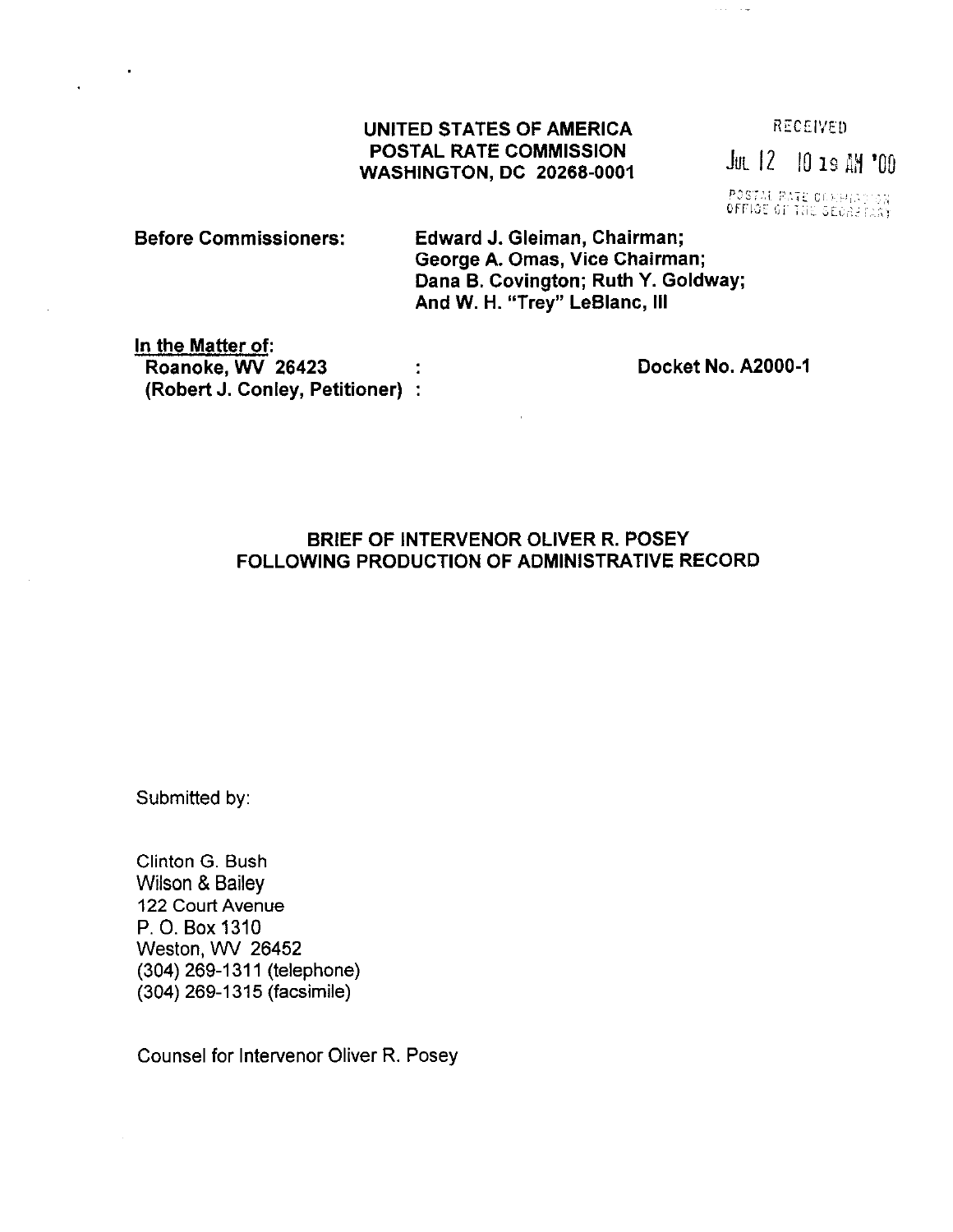## UNITED STATES OF AMERICA  $RECEIVED$ POSTAL RATE COMMISSION POSTAL RATE COMMISSION<br>WASHINGTON, DC 20268-0001

POSTAL RATE COMMISSION

Before Commissioners: Edward J. Gleiman, Chairman; George A. Omas, Vice Chairman; Dana B. Covington; Ruth Y. Goldway; And W. H. "Trey" LeBlanc, Ill

In the Matter of: Roanoke, WV 26423 (Robert J. Conley, Petitioner)

Docket No. A2000-1

**College** 

## BRIEF OF INTERVENOR OLIVER R. POSEY FOLLOWING PRODUCTION OF ADMINISTRATIVE RECORD

Submitted by:

Clinton G. Bush Wilson & Bailey 122 Court Avenue P. 0. Box 1310 Weston, WV 26452 (304) 269-1311 (telephone) (304) 269-l 315 (facsimile)

Counsel for lntervenor Oliver R. Posey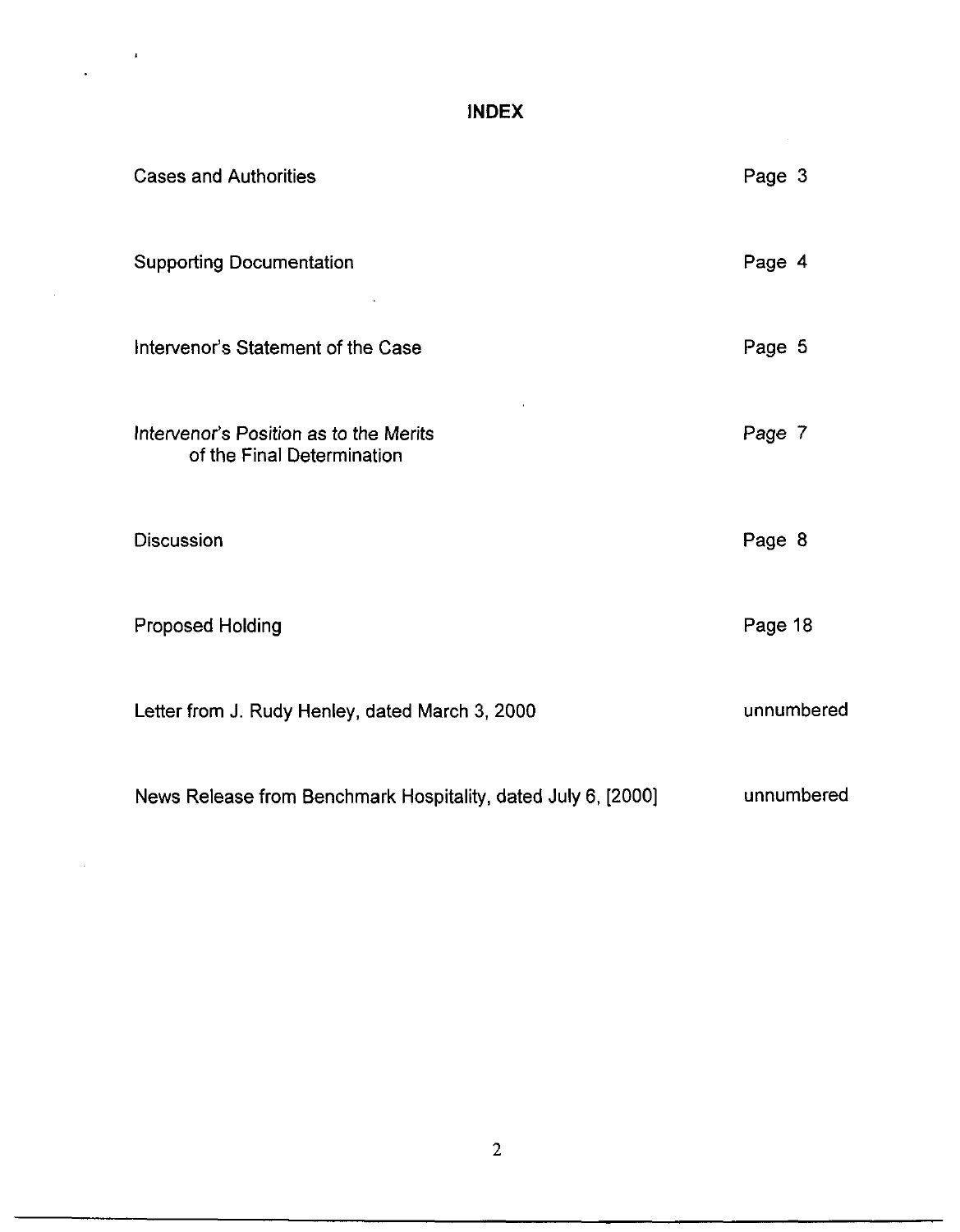## INDEX

 $\frac{1}{2} \left( \frac{1}{2} \right)^2$ 

 $\bar{z}$ 

| <b>Cases and Authorities</b>                                         | Page 3     |
|----------------------------------------------------------------------|------------|
| <b>Supporting Documentation</b>                                      | Page 4     |
| Intervenor's Statement of the Case                                   | Page 5     |
| Intervenor's Position as to the Merits<br>of the Final Determination | Page 7     |
| <b>Discussion</b>                                                    | Page 8     |
| <b>Proposed Holding</b>                                              | Page 18    |
| Letter from J. Rudy Henley, dated March 3, 2000                      | unnumbered |
| News Release from Benchmark Hospitality, dated July 6, [2000]        | unnumbered |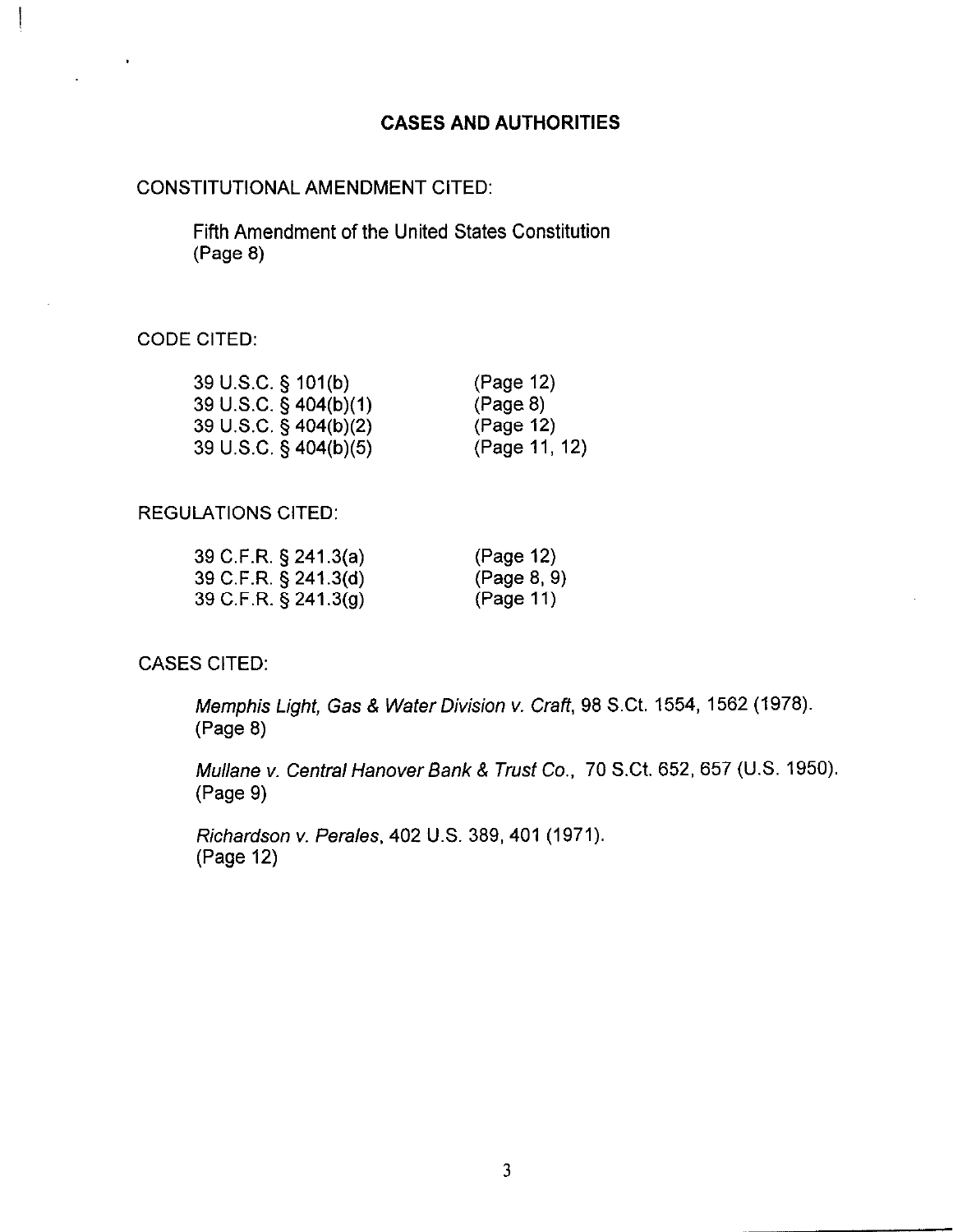## CASES AND AUTHORITIES

### CONSTITUTIONAL AMENDMENT CITED:

Fifth Amendment of the United States Constitution (Page 8)

## CODE CITED:

 $\begin{array}{c} \hline \end{array}$ 

 $\bullet$ 

| 39 U.S.C. § 101(b)    | (Page 12)     |
|-----------------------|---------------|
| 39 U.S.C. § 404(b)(1) | (Page 8)      |
| 39 U.S.C. § 404(b)(2) | (Page 12)     |
| 39 U.S.C. § 404(b)(5) | (Page 11, 12) |

## REGULATIONS CITED:

| 39 C.F.R. § 241.3(a) | (Page 12)   |
|----------------------|-------------|
| 39 C.F.R. § 241.3(d) | (Page 8, 9) |
| 39 C.F.R. § 241.3(g) | (Page 11)   |

## CASES CITED:

Memphis Light, Gas & Water Division v. Craft, 98 S.Ct. 1554, 1562 (1978). (Page 8)

Mullane v. Central Hanover Bank & Trust Co., 70 S.Ct. 652, 657 (U.S. 1950). (Page 9)

Richardson v. Perales, 402 U.S. 389,401 (1971). (Page 12)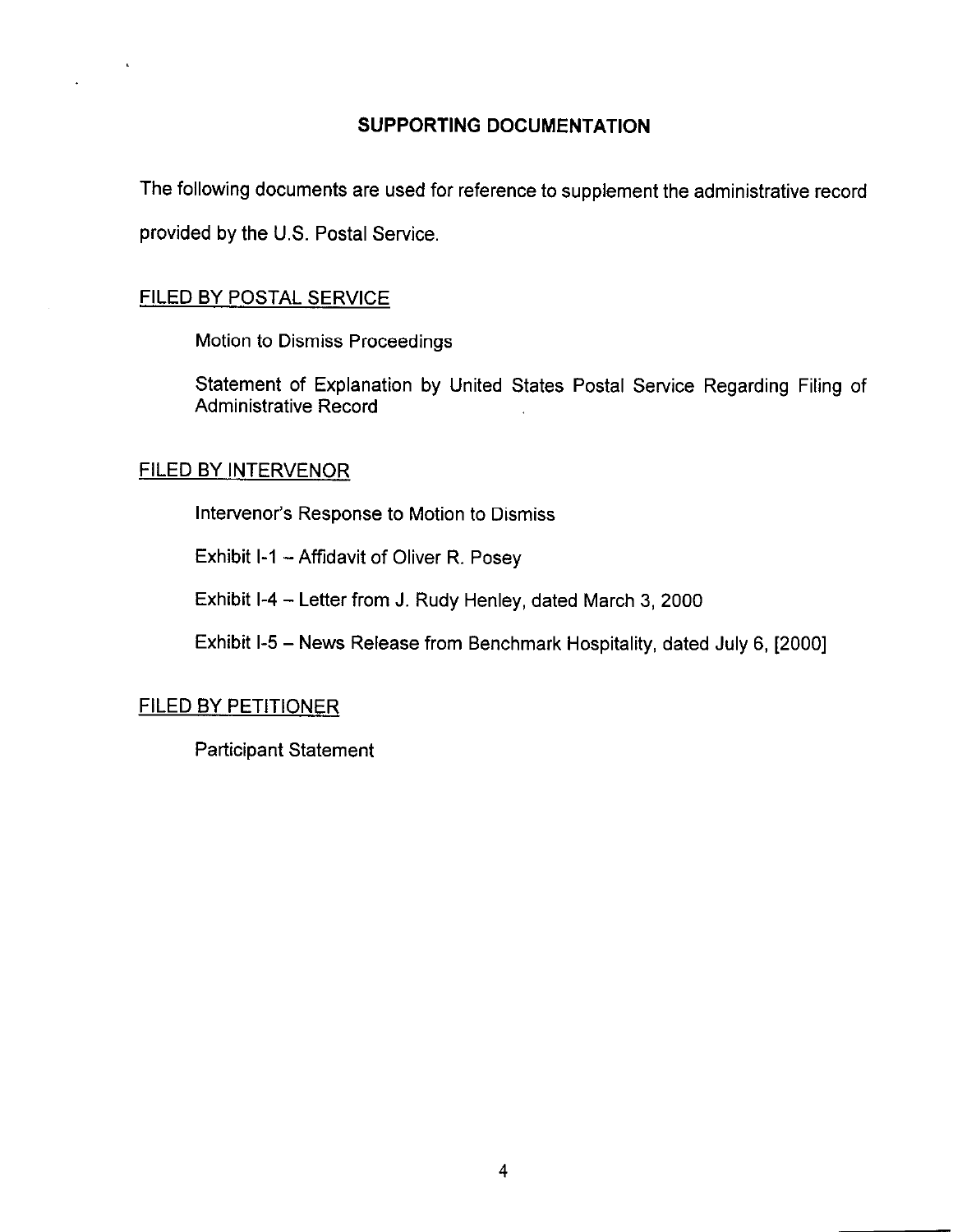## SUPPORTING DOCUMENTATION

The following documents are used for reference to supplement the administrative record provided by the U.S. Postal Service.

## FILED BY POSTAL SERVICE

Motion to Dismiss Proceedings

Statement of Explanation by United States Postal Service Regarding Filing of Administrative Record

## FILED BY INTERVENOR

Intervenor's Response to Motion to Dismiss

Exhibit I-1 - Affidavit of Oliver R. Posey

Exhibit l-4 - Letter from J. Rudy Henley, dated March 3, 2000

Exhibit l-5 - News Release from Benchmark Hospitality, dated July 6, [2000]

## FILED BY PETITIONER

Participant Statement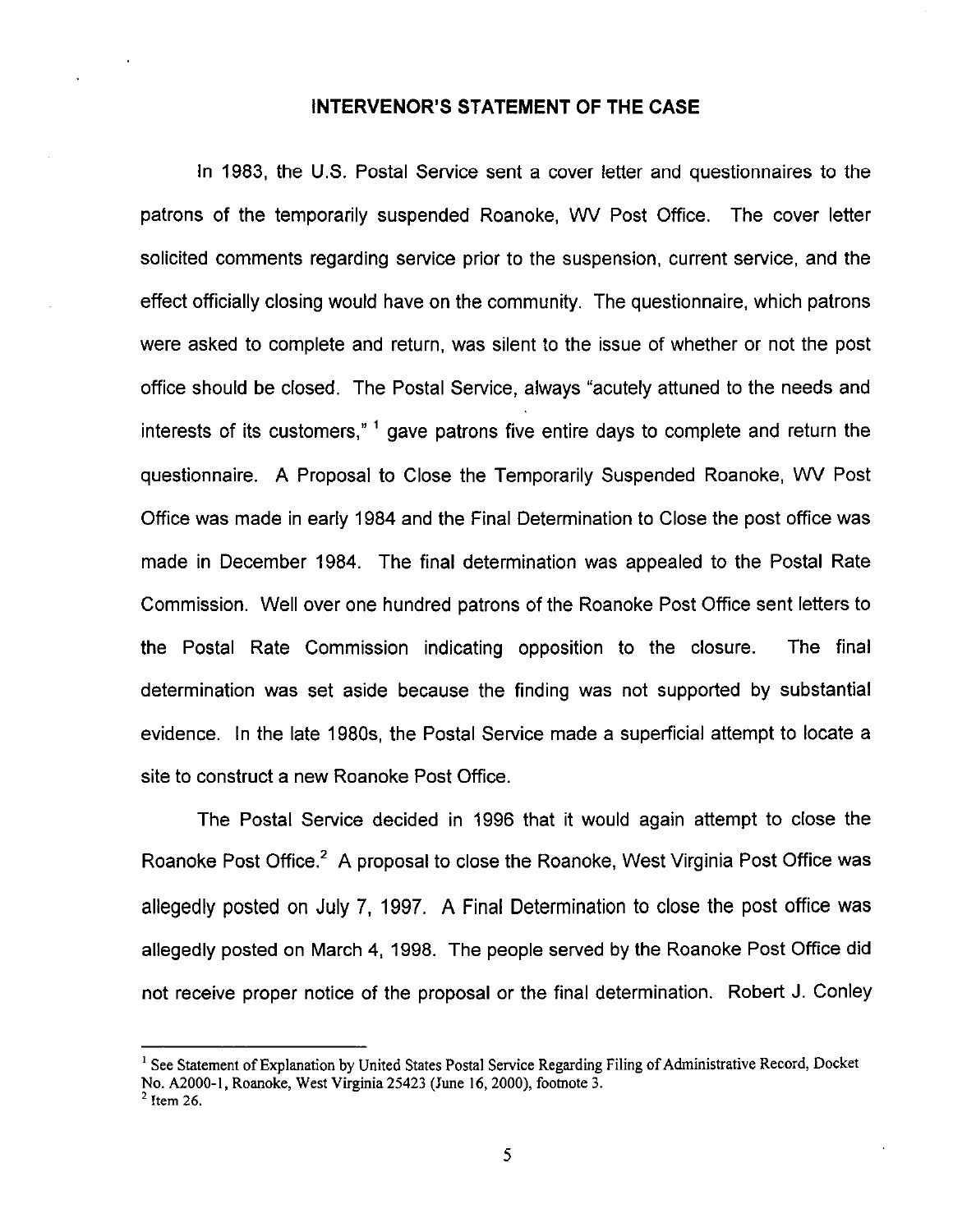## INTERVENOR'S STATEMENT OF THE CASE

In 1983, the U.S. Postal Service sent a cover letter and questionnaires to the patrons of the temporarily suspended Roanoke, WV Post Office. The cover letter solicited comments regarding service prior to the suspension, current service, and the effect officially closing would have on the community. The questionnaire, which patrons were asked to complete and return, was silent to the issue of whether or not the post office should be closed. The Postal Service, always "acutely attuned to the needs and interests of its customers," ' gave patrons five entire days to complete and return the questionnaire. A Proposal to Close the Temporarily Suspended Roanoke, WV Post Office was made in early 1984 and the Final Determination to Close the post office was made in December 1984. The final determination was appealed to the Postal Rate Commission. Well over one hundred patrons of the Roanoke Post Office sent letters to the Postal Rate Commission indicating opposition to the closure. The final determination was set aside because the finding was not supported by substantial evidence. In the late 1980s, the Postal Service made a superficial attempt to locate a site to construct a new Roanoke Post Office.

The Postal Service decided in 1996 that it would again attempt to close the Roanoke Post Office.<sup>2</sup> A proposal to close the Roanoke, West Virginia Post Office was allegedly posted on July 7, 1997. A Final Determination to close the post office was allegedly posted on March 4, 1998. The people served by the Roanoke Post Office did not receive proper notice of the proposal or the final determination. Robert J. COnley

<sup>&</sup>lt;sup>1</sup> See Statement of Explanation by United States Postal Service Regarding Filing of Administrative Record, Docket No. A2000-1, Roanoke, West Virginia 25423 (June 16, 2000), footnote 3.

 $<sup>2</sup>$  Item 26.</sup>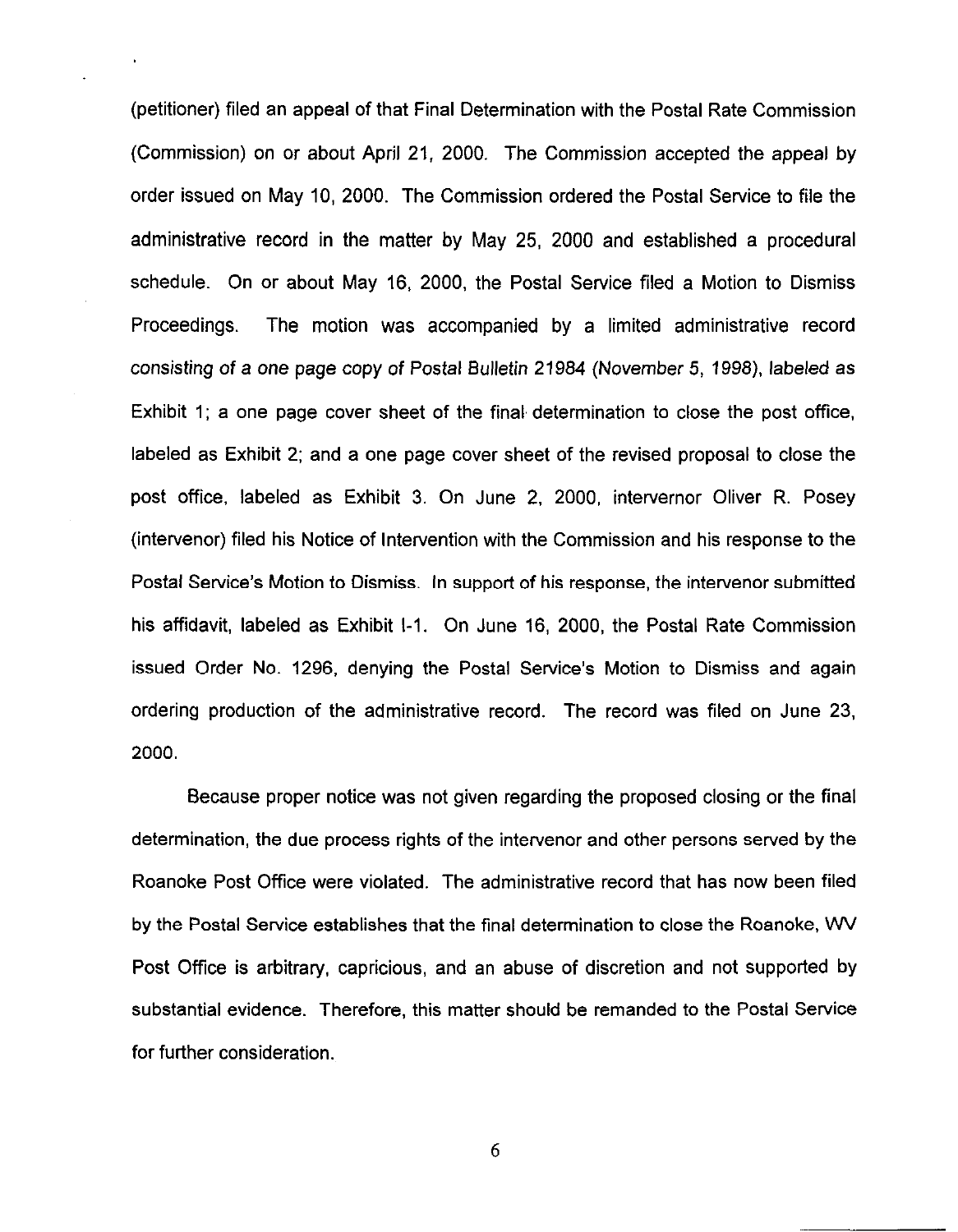(petitioner) filed an appeal of that Final Determination with the Postal Rate Commission (Commission) on or about April 21, 2000. The Commission accepted the appeal by order issued on May 10, 2000. The Commission ordered the Postal Service to file the administrative record in the matter by May 25, 2000 and established a procedural schedule. On or about May 16, 2000, the Postal Service filed a Motion to Dismiss Proceedings. The motion was accompanied by a limited administrative record consisting of a one page copy of Postal Bulletin 21984 (November 5, 1998), labeled as Exhibit 1; a one page cover sheet of the final determination to close the post office, labeled as Exhibit 2; and a one page cover sheet of the revised proposal to close the post office, labeled as Exhibit 3. On June 2, 2000, intervernor Oliver R. Posey (intervenor) filed his Notice of Intervention with the Commission and his response to the Postal Service's Motion to Dismiss. In support of his response, the intervenor submitted his affidavit, labeled as Exhibit I-1. On June 16, 2000, the Postal Rate Commission issued Order No. 1296, denying the Postal Service's Motion to Dismiss and again ordering production of the administrative record. The record was filed on June 23, 2000.

Because proper notice was not given regarding the proposed closing or the final determination, the due process rights of the intervenor and other persons served by the Roanoke Post Office were violated. The administrative record that has now been filed by the Postal Service establishes that the final determination to close the Roanoke, WV Post Office is arbitrary, capricious, and an abuse of discretion and not supported by substantial evidence. Therefore, this matter should be remanded to the Postal Service for further consideration.

6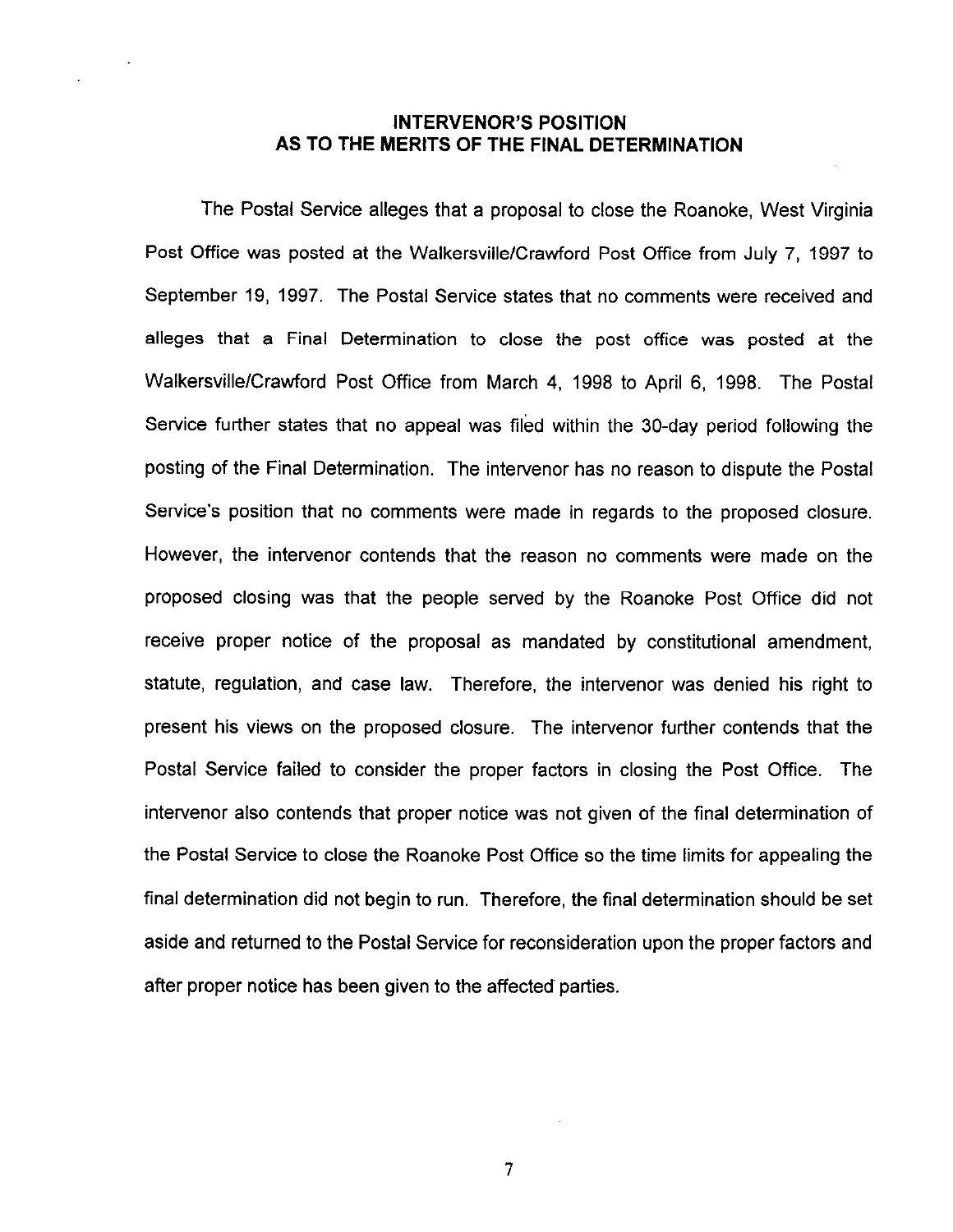## INTERVENOR'S POSITION AS TO THE MERITS OF THE FINAL DETERMINATION

The Postal Service alleges that a proposal to close the Roanoke, West Virginia Post Office was posted at the Walkersville/Crawford Post Office from July 7, 1997 to September 19, 1997. The Postal Service states that no comments were received and alleges that a Final Determination to close the post office was posted at the Walkersville/Crawford Post Office from March 4, 1998 to April 6, 1998. The Postal Service further states that no appeal was filed within the 30-day period following the posting of the Final Determination. The intervenor has no reason to dispute the Postal Service's position that no comments were made in regards to the proposed closure. However, the intervenor contends that the reason no comments were made on the proposed closing was that the people served by the Roanoke Post Office did not receive proper notice of the proposal as mandated by constitutional amendment, statute, regulation, and case law. Therefore, the intervenor was denied his right to present his views on the proposed closure. The intervenor further contends that the Postal Service failed to consider the proper factors in closing the Post Office. The intervenor also contends that proper notice was not given of the final determination of the Postal Service to close the Roanoke Post Office so the time limits for appealing the final determination did not begin to run. Therefore, the final determination should be set aside and returned to the Postal Service for reconsideration upon the proper factors and after proper notice has been given to the affected parties.

7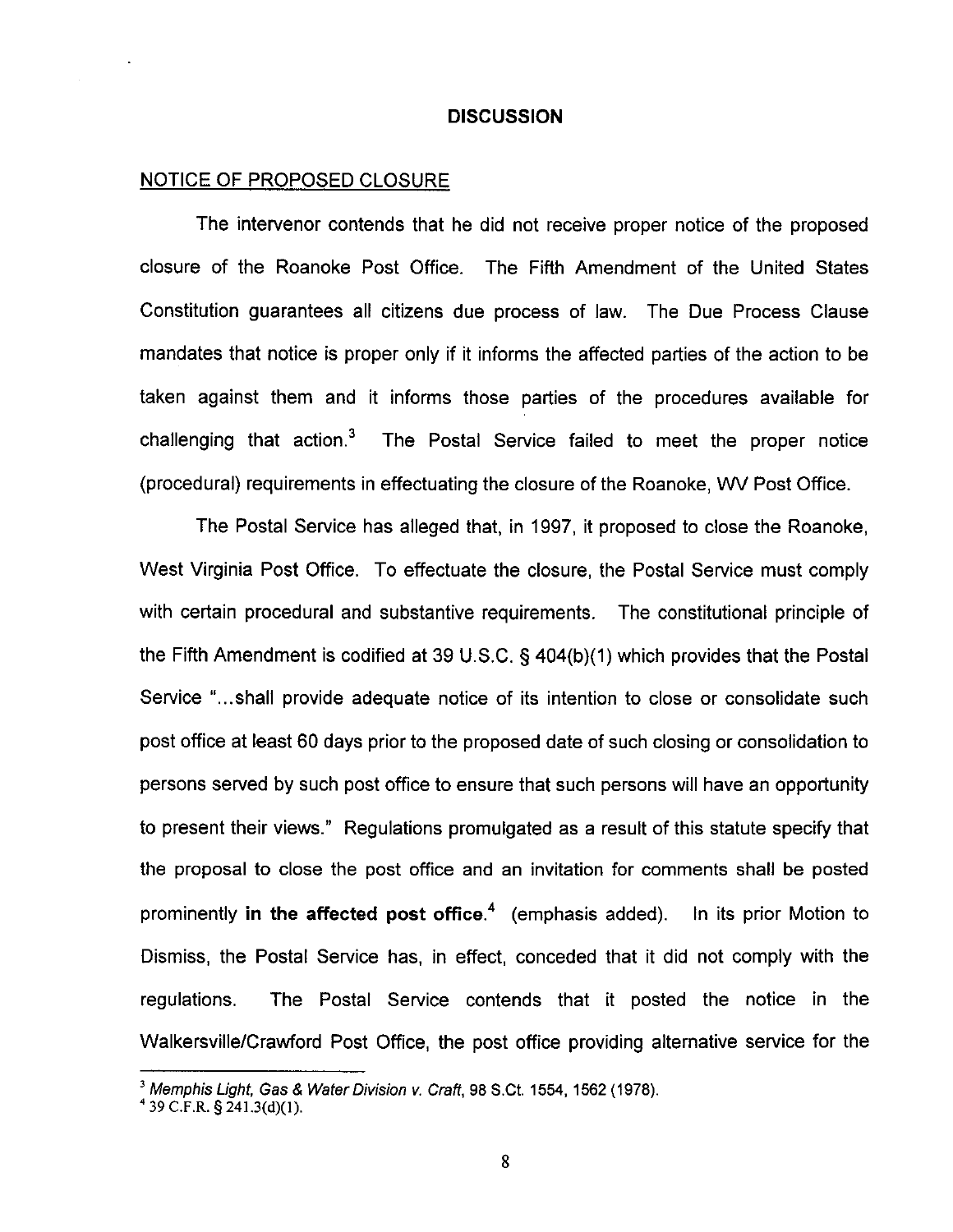#### **DISCUSSION**

## NOTICE OF PROPOSED CLOSURE

The intervenor contends that he did not receive proper notice of the proposed closure of the Roanoke Post Office. The Fifth Amendment of the United States Constitution guarantees all citizens due process of law. The Due Process Clause mandates that notice is proper only if it informs the affected parties of the action to be taken against them and it informs those parties of the procedures available for challenging that action. $3$  The Postal Service failed to meet the proper notice (procedural) requirements in effectuating the closure of the Roanoke, WV Post Office.

The Postal Service has alleged that, in 1997, it proposed to close the Roanoke, West Virginia Post Office. To effectuate the closure, the Postal Service must comply with certain procedural and substantive requirements. The constitutional principle of the Fifth Amendment is codified at 39 U.S.C.  $\S$  404(b)(1) which provides that the Postal Service "...shall provide adequate notice of its intention to close or consolidate such post office at least 60 days prior to the proposed date of such closing or consolidation to persons served by such post office to ensure that such persons will have an opportunity to present their views." Regulations promulgated as a result of this statute specify that the proposal to close the post office and an invitation for comments shall be posted prominently in the affected post office.<sup>4</sup> (emphasis added). In its prior Motion to Dismiss, the Postal Service has, in effect, conceded that it did not comply with the regulations. The Postal Service contends that it posted the notice in the Walkersville/Crawford Post Office, the post office providing alternative service for the

<sup>&</sup>lt;sup>3</sup> Memphis Light, Gas & Water Division v. Craft, 98 S.Ct. 1554, 1562 (1978).

 $4$  39 C.F.R. § 241,3(d)(1).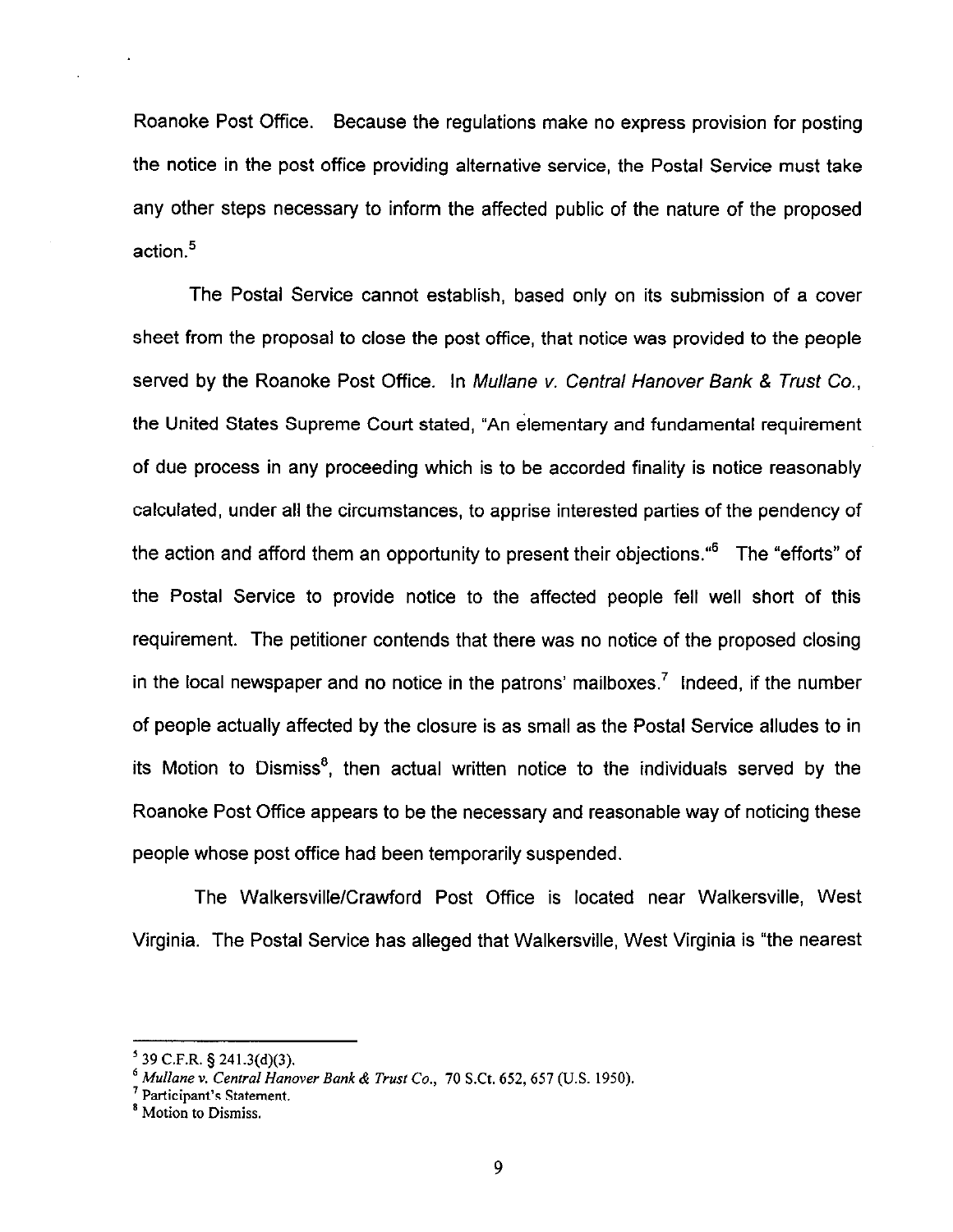Roanoke Post Office. Because the regulations make no express provision for posting the notice in the post office providing alternative service, the Postal Service must take any other steps necessary to inform the affected public of the nature of the proposed action.<sup>5</sup>

The Postal Service cannot establish, based only on its submission of a cover sheet from the proposal to close the post office, that notice was provided to the people served by the Roanoke Post Office. In Mullane v. Central Hanover Bank & Trust Co., the United States Supreme Court stated, "An elementary and fundamental requirement of due process in any proceeding which is to be accorded finality is notice reasonably calculated, under all the circumstances, to apprise interested parties of the pendency of the action and afford them an opportunity to present their objections."6 The "efforts" of the Postal Service to provide notice to the affected people fell well short of this requirement. The petitioner contends that there was no notice of the proposed closing in the local newspaper and no notice in the patrons' mailboxes.<sup>7</sup> Indeed, if the number of people actually affected by the closure is as small as the Postal Service alludes to in its Motion to Dismiss', then actual written notice to the individuals served by the Roanoke Post Office appears to be the necessary and reasonable way of noticing these people whose post office had been temporarily suspended.

The Walkersville/Crawford Post Office is located near Walkersville, West Virginia. The Postal Service has alleged that Walkersville, West Virginia is "the nearest

 $<sup>5</sup>$  39 C.F.R. § 241.3(d)(3).</sup>

 $^6$  Mullane v. Central Hanover Bank & Trust Co., 70 S.Ct. 652, 657 (U.S. 1950).

<sup>&#</sup>x27; Participant's Statement.

<sup>&#</sup>x27; Motion to Dismiss.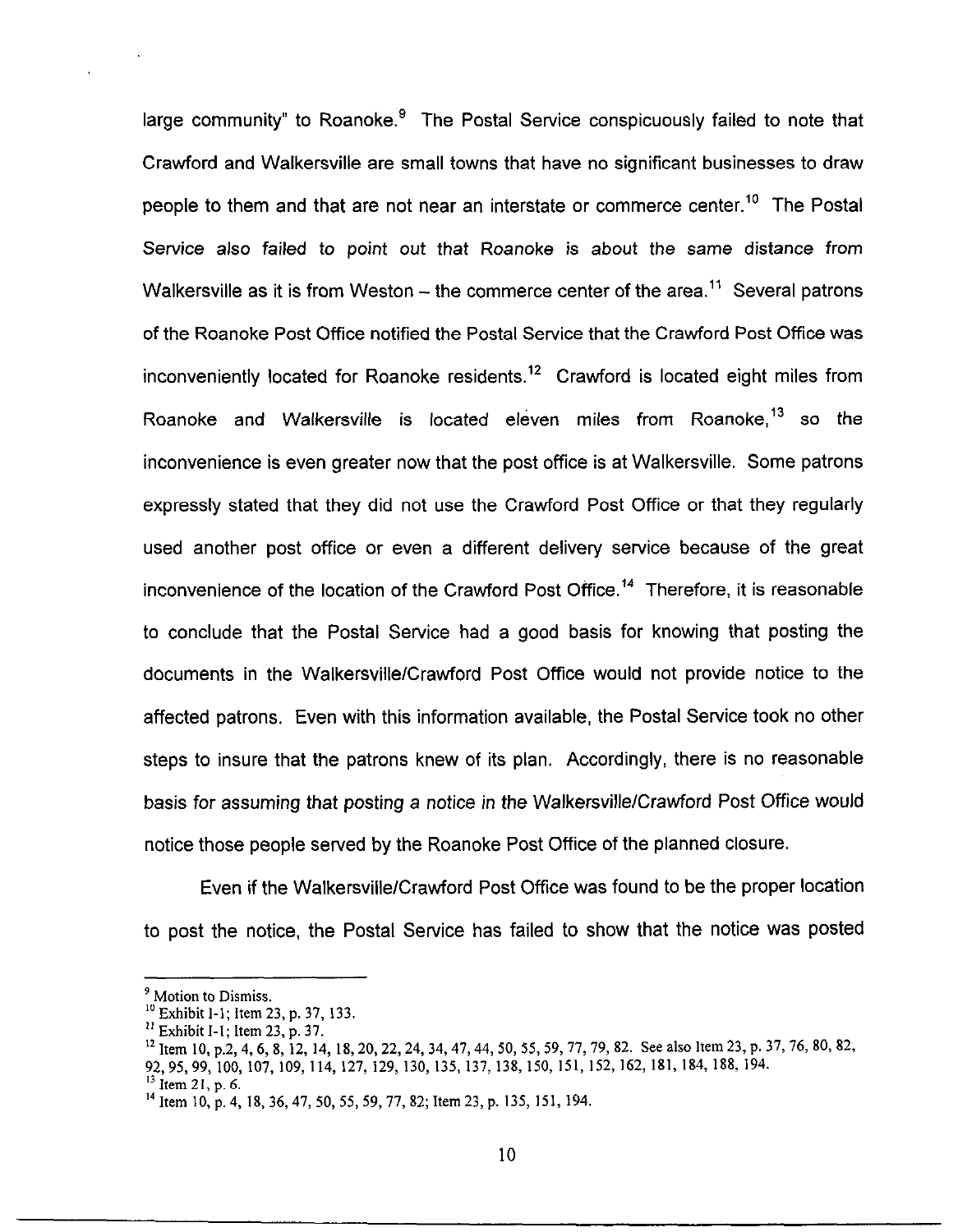large community" to Roanoke. $9$  The Postal Service conspicuously failed to note that Crawford and Walkersville are small towns that have no significant businesses to draw people to them and that are not near an interstate or commerce center.<sup>10</sup> The Postal Service also failed to point out that Roanoke is about the same distance from Walkersville as it is from Weston  $-$  the commerce center of the area.<sup>11</sup> Several patrons of the Roanoke Post Office notified the Postal Service that the Crawford Post Office was inconveniently located for Roanoke residents.<sup>12</sup> Crawford is located eight miles from Roanoke and Walkersville is located eleven miles from Roanoke,<sup>13</sup> so the inconvenience is even greater now that the post office is at Walkersville. Some patrons expressly stated that they did not use the Crawford Post Office or that they regularly used another post office or even a different delivery service because of the great inconvenience of the location of the Crawford Post Office.<sup>14</sup> Therefore, it is reasonable to conclude that the Postal Service had a good basis for knowing that posting the documents in the Walkersville/Crawford Post Office would not provide notice to the affected patrons. Even with this information available, the Postal Service took no other steps to insure that the patrons knew of its plan. Accordingly, there is no reasonable basis for assuming that posting a notice in the Walkersville/Crawford Post Office would notice those people served by the Roanoke Post Office of the planned closure.

Even if the WalkersvillelCrawford Post Office was found to be the proper location to post the notice, the Postal Service has failed to show that the notice was posted

<sup>&</sup>lt;sup>9</sup> Motion to Dismiss.

<sup>&</sup>lt;sup>10</sup> Exhibit 1-1; Item 23, p. 37, 133.

 $^{11}$  Exhibit I-1; Item 23, p. 37.

<sup>&</sup>lt;sup>12</sup> Item 10, p.2, 4, 6, 8, 12, 14, 18, 20, 22, 24, 34, 47, 44, 50, 55, 59, 77, 79, 82. See also Item 23, p. 37, 76, 80, 82, 92,95,99, 100, 107, 109, 114, 127, 129, 130, 135, 137, 138, 150, 151, 152, 162, 181, 184, 188, 194.  $13$  Item 21, p. 6.

<sup>&</sup>lt;sup>14</sup> Item 10, p. 4, 18, 36, 47, 50, 55, 59, 77, 82; Item 23, p. 135, 151, 194.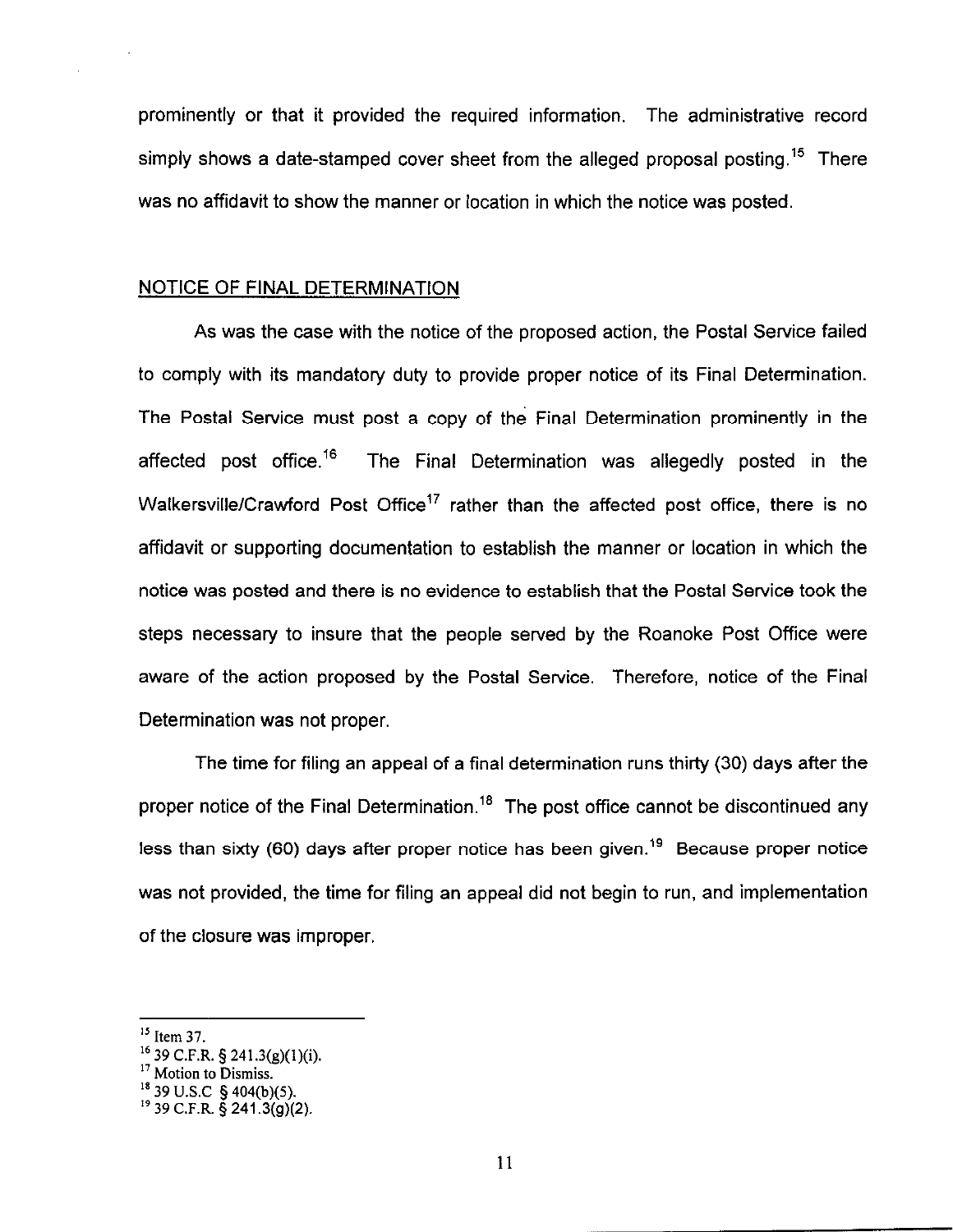prominently or that it provided the required information. The administrative record simply shows a date-stamped cover sheet from the alleged proposal posting.<sup>15</sup> There was no affidavit to show the manner or location in which the notice was posted.

#### NOTICE OF FINAL DETERMINATION

As was the case with the notice of the proposed action, the Postal Service failed to comply with its mandatory duty to provide proper notice of its Final Determination. The Postal Service must post a copy of the Final Determination prominently in the affected post office.<sup>16</sup> The Final Determination was allegedly posted in the Walkersville/Crawford Post Office<sup>17</sup> rather than the affected post office, there is no affidavit or supporting documentation to establish the manner or location in which the notice was posted and there is no evidence to establish that the Postal Service took the steps necessary to insure that the people served by the Roanoke Post Office were aware of the action proposed by the Postal Service. Therefore, notice of the Final Determination was not proper.

The time for filing an appeal of a final determination runs thirty (30) days after the proper notice of the Final Determination.<sup>18</sup> The post office cannot be discontinued any less than sixty (60) days after proper notice has been given.<sup>19</sup> Because proper notice was not provided, the time for filing an appeal did not begin to run, and implementation of the closure was improper.

<sup>&</sup>lt;sup>15</sup> Item 37.

<sup>&</sup>lt;sup>16</sup> 39 C.F.R. § 241.3(g)(1)(i

<sup>&</sup>lt;sup>17</sup> Motion to Dismiss.

 $^{\rm 18}$  39 U.S.C 5 404(b)(S).

<sup>.&</sup>lt;br>. 39 C.F.R. 5 241.3(g)(2).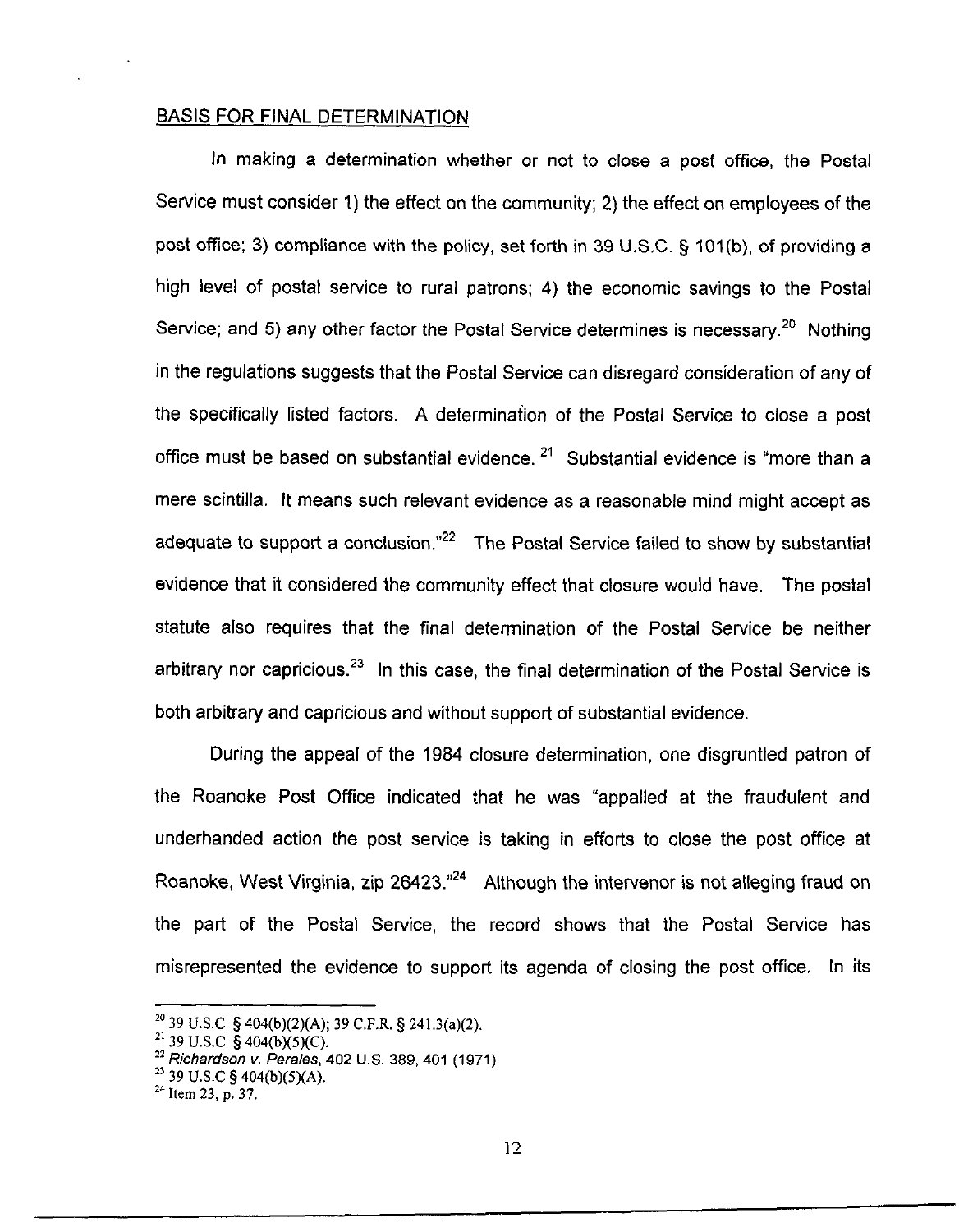#### BASIS FOR FINAL DETERMINATION

In making a determination whether or not to close a post office, the Postal Service must consider 1) the effect on the community; 2) the effect on employees of the post office; 3) compliance with the policy, set forth in 39 U.S.C. § 101(b), of providing a high level of postal service to rural patrons; 4) the economic savings to the Postal Service; and 5) any other factor the Postal Service determines is necessary.<sup>20</sup> Nothing in the regulations suggests that the Postal Service can disregard consideration of any of the specifically listed factors. A determination of the Postal Service to close a post office must be based on substantial evidence.  $2<sup>1</sup>$  Substantial evidence is "more than a mere scintilla. It means such relevant evidence as a reasonable mind might accept as adequate to support a conclusion." $2^2$  The Postal Service failed to show by substantial evidence that it considered the community effect that closure would have. The postal statute also requires that the final determination of the Postal Service be neither arbitrary nor capricious.<sup>23</sup> In this case, the final determination of the Postal Service is both arbitrary and capricious and without support of substantial evidence.

During the appeal of the 1984 closure determination, one disgruntled patron of the Roanoke Post Office indicated that he was "appalled at the fraudulent and underhanded action the post service is taking in efforts to close the post office at Roanoke, West Virginia, zip 26423.<sup>"24</sup> Although the intervenor is not alleging fraud on the part of the Postal Service, the record shows that the Postal Service has misrepresented the evidence to support its agenda of closing the post office. In its

 $^{20}$  39 U.S.C  $\frac{5}{9}$  404(b)(2)(A); 39 C.F.R.  $\frac{5}{9}$  241.3(a)(2).

<sup>&</sup>lt;sup>21</sup> 39 U.S.C  $\check{S}$  404(b)(5)(C).

 $^{22}$  Richardson v. Perales, 402 U.S. 389, 401 (1971)

 $^{23}$  39 U.S.C § 404(b)(5)(A).

 $^{24}$  Item 23, p. 37.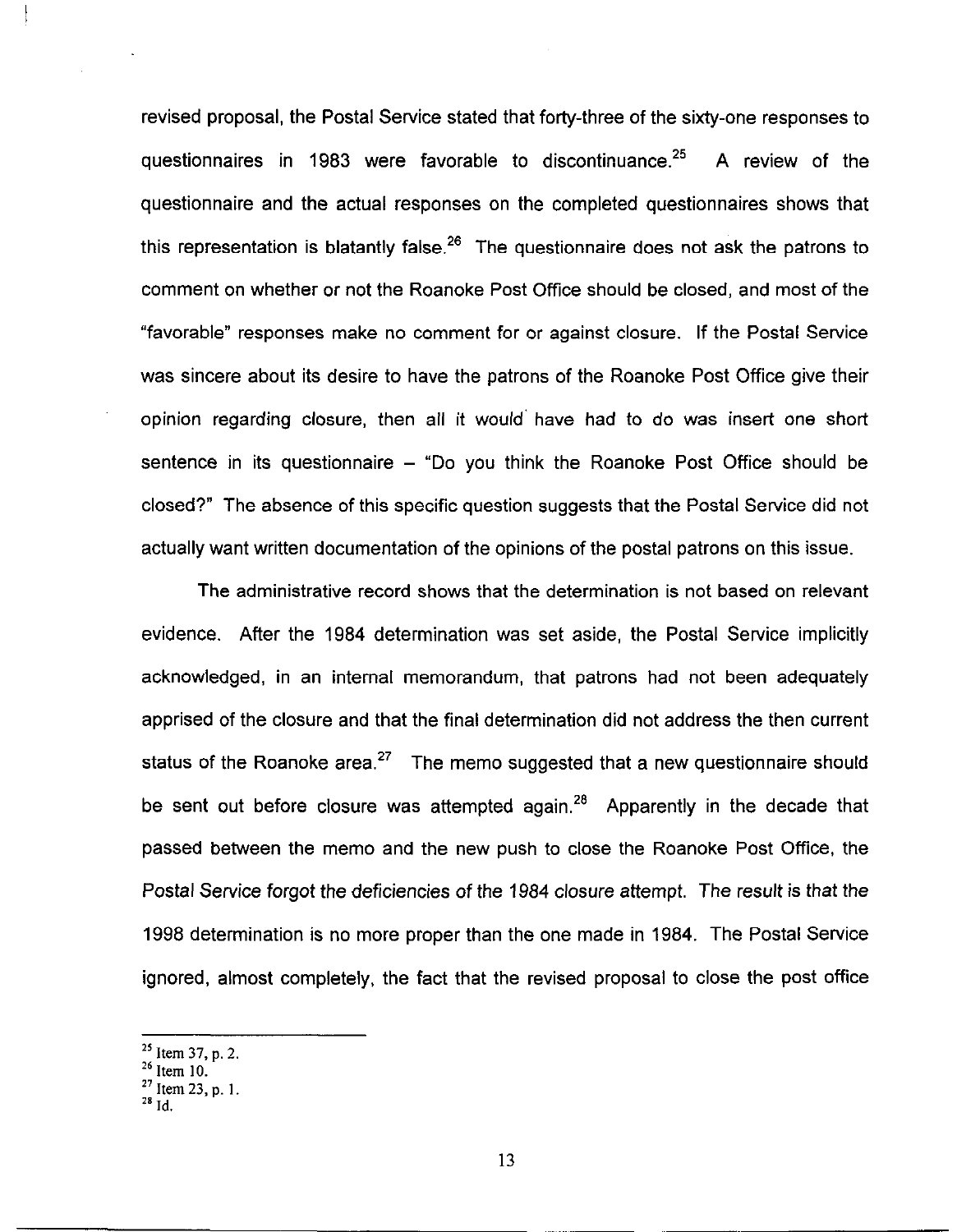revised proposal, the Postal Service stated that forty-three of the sixty-one responses to questionnaires in 1983 were favorable to discontinuance.<sup>25</sup> A review of the questionnaire and the actual responses on the completed questionnaires shows that this representation is blatantly false.<sup>26</sup> The questionnaire does not ask the patrons to comment on whether or not the Roanoke Post Office should be closed, and most of the "favorable" responses make no comment for or against closure. If the Postal Service was sincere about its desire to have the patrons of the Roanoke Post Office give their opinion regarding closure, then all it would' have had to do was insert one short sentence in its questionnaire  $-$  "Do you think the Roanoke Post Office should be closed?" The absence of this specific question suggests that the Postal Service did not actually want written documentation of the opinions of the postal patrons on this issue.

The administrative record shows that the determination is not based on relevant evidence. After the 1984 determination was set aside, the Postal Service implicitly acknowledged, in an internal memorandum, that patrons had not been adequately apprised of the closure and that the final determination did not address the then current status of the Roanoke area.<sup>27</sup> The memo suggested that a new questionnaire should be sent out before closure was attempted again. $28$  Apparently in the decade that passed between the memo and the new push to close the Roanoke Post Office, the Postal Service forgot the deficiencies of the 1984 closure attempt. The result is that the 1998 determination is no more proper than the one made in 1984. The Postal Service ignored, almost completely, the fact that the revised proposal to close the post office

 $^{25}$  Item 37, p, 2.

 $26$  Item 10.

 $^{27}$  Item 23, p. 1.

 $^{28}$  Id.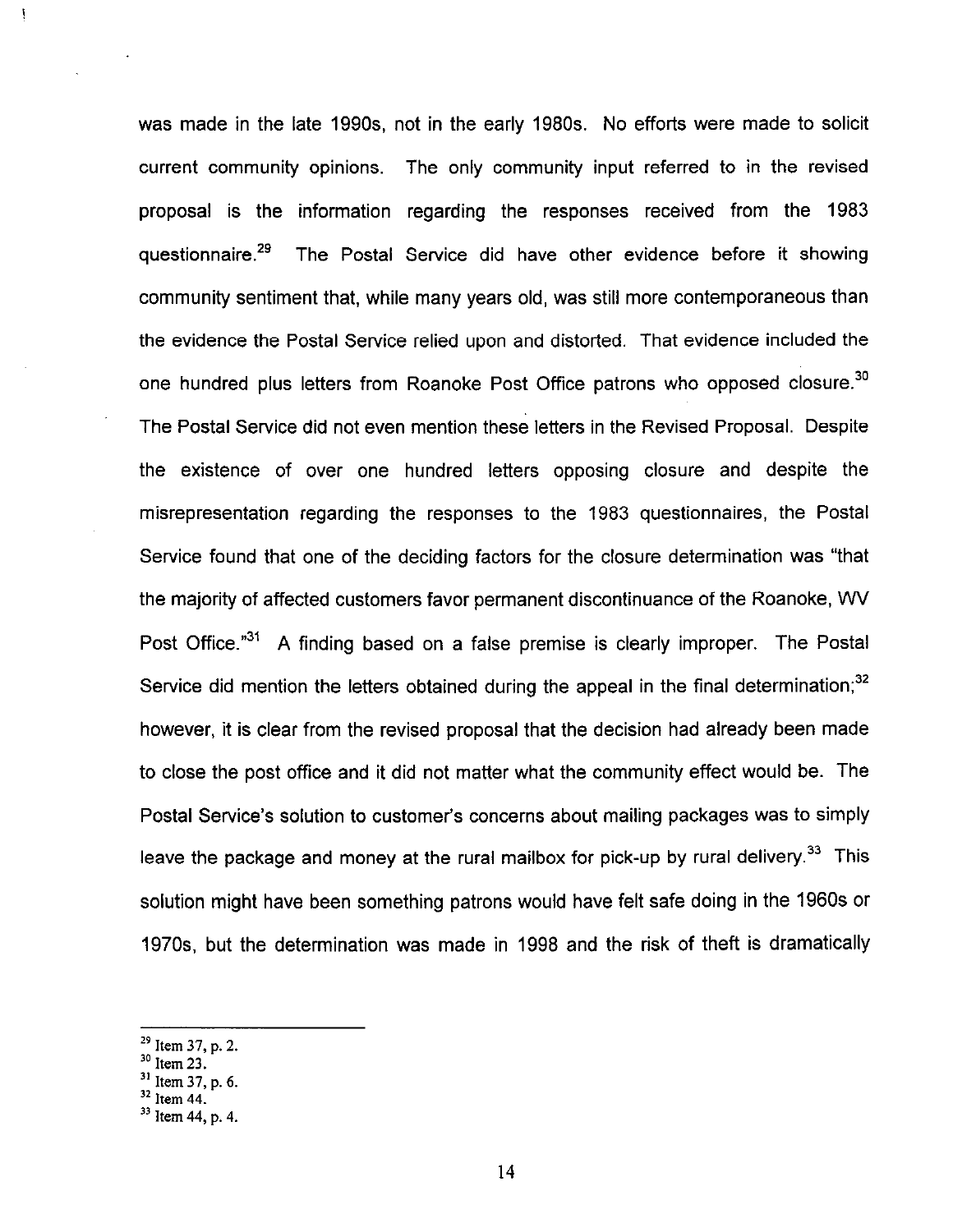was made in the late 1990s, not in the early 1980s. No efforts were made to solicit current community opinions. The only community input referred to in the revised proposal is the information regarding the responses received from the 1983 questionnaire.<sup>29</sup> The Postal Service did have other evidence before it showing community sentiment that, while many years old, was still more contemporaneous than the evidence the Postal Service relied upon and distorted. That evidence included the one hundred plus letters from Roanoke Post Office patrons who opposed closure.<sup>30</sup> The Postal Service did not even mention these letters in the Revised Proposal. Despite the existence of over one hundred letters opposing closure and despite the misrepresentation regarding the responses to the 1983 questionnaires, the Postal Service found that one of the deciding factors for the closure determination was "that the majority of affected customers favor permanent discontinuance of the Roanoke, WV Post Office."<sup>31</sup> A finding based on a false premise is clearly improper. The Postal Service did mention the letters obtained during the appeal in the final determination; $32$ however, it is clear from the revised proposal that the decision had already been made to close the post office and it did not matter what the community effect would be. The Postal Service's solution to customer's concerns about mailing packages was to simply leave the package and money at the rural mailbox for pick-up by rural delivery.<sup>33</sup> This solution might have been something patrons would have felt safe doing in the 1960s or 1970s but the determination was made in 1998 and the risk of theft is dramatically

 $\frac{1}{2}$ 

 $^{29}$  Item 37, p. 2.

 $\rm{^{30}}$  Item 23.

<sup>&</sup>lt;sup>31</sup> Item 37, p. 6.

 $32$  Item 44.

<sup>33</sup> Item 44, p. 4.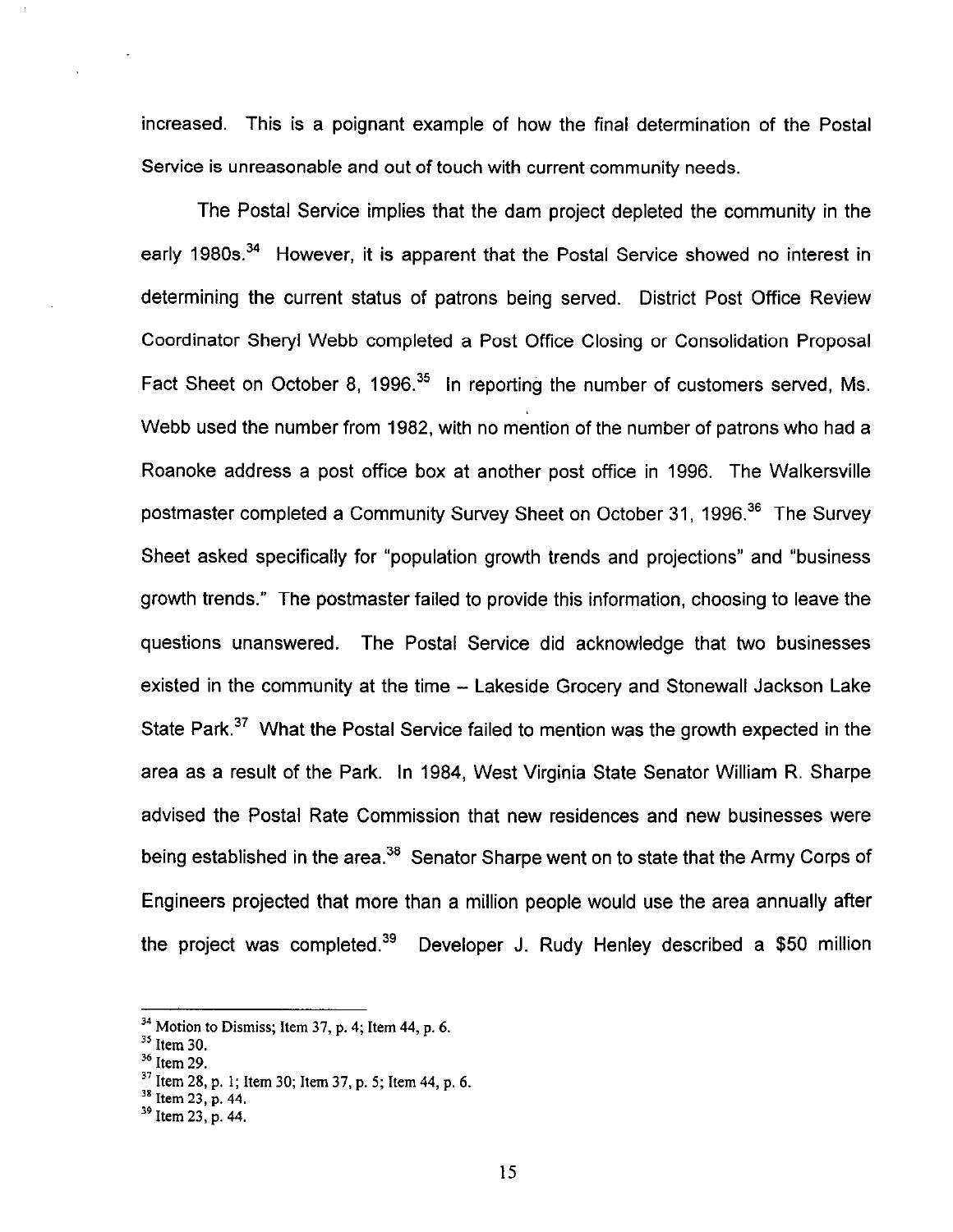increased. This is a poignant example of how the final determination of the Postal Service is unreasonable and out of touch with current community needs,

The Postal Service implies that the dam project depleted the community in the early 1980s.<sup>34</sup> However, it is apparent that the Postal Service showed no interest in determining the current status of patrons being served. District Post Office Review Coordinator Sheryl Webb completed a Post Office Closing or Consolidation Proposal Fact Sheet on October 8, 1996.<sup>35</sup> In reporting the number of customers served, Ms. Webb used the number from 1982, with no mention of the number of patrons who had a Roanoke address a post office box at another post office in 1996. The Walkersville postmaster completed a Community Survey Sheet on October 31, 1996.<sup>36</sup> The Survey Sheet asked specifically for "population growth trends and projections" and "business growth trends." The postmaster failed to provide this information, choosing to leave the questions unanswered. The Postal Service did acknowledge that two businesses existed in the community at the time - Lakeside Grocery and Stonewall Jackson Lake State Park.<sup>37</sup> What the Postal Service failed to mention was the growth expected in the area as a result of the Park. In 1984, West Virginia State Senator William R. Sharpe advised the Postal Rate Commission that new residences and new businesses were being established in the area.<sup>38</sup> Senator Sharpe went on to state that the Army Corps of Engineers projected that more than a million people would use the area annually after the project was completed.<sup>39</sup> Developer J. Rudy Henley described a \$50 million

 $34$  Motion to Dismiss; Item 37, p. 4; Item 44, p. 6.

 $\rm$ <sup>33</sup> Item 30.

 $36$  Item 29.

 $3^7$  Item 28, p. 1; Item 30; Item 37, p. 5; Item 44, p. 6.

 $38$  Item 23, p. 44.

 $39$  Item 23, p. 44.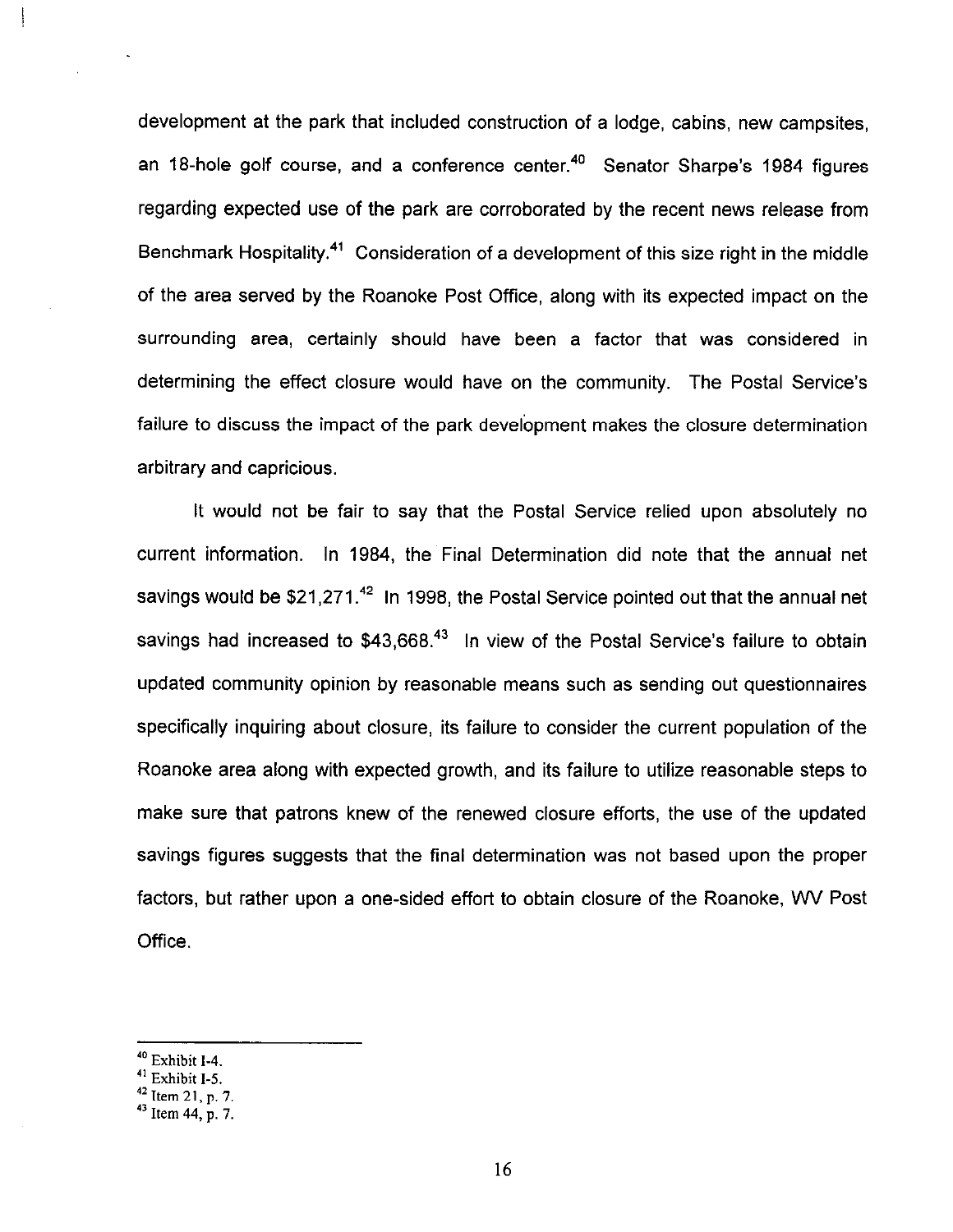development at the park that included construction of a lodge, cabins, new campsites, an 18-hole golf course, and a conference center.<sup>40</sup> Senator Sharpe's 1984 figures regarding expected use of the park are corroborated by the recent news release from Benchmark Hospitality.<sup>41</sup> Consideration of a development of this size right in the middle of the area served by the Roanoke Post Office, along with its expected impact on the surrounding area, certainly should have been a factor that was considered in determining the effect closure would have on the community. The Postal Service's failure to discuss the impact of the park development makes the closure determination arbitrary and capricious.

It would not be fair to say that the Postal Service relied upon absolutely no current information. In 1984, the Final Determination did note that the annual net savings would be  $$21,271.<sup>42</sup>$  In 1998, the Postal Service pointed out that the annual net savings had increased to \$43,668.<sup>43</sup> In view of the Postal Service's failure to obtain updated community opinion by reasonable means such as sending out questionnaires specifically inquiring about closure, its failure to consider the current population of the Roanoke area along with expected growth, and its failure to utilize reasonable steps to make sure that patrons knew of the renewed closure efforts, the use of the updated savings figures suggests that the final determination was not based upon the proper factors, but rather upon a one-sided effort to obtain closure of the Roanoke, WV Post Office.

<sup>4</sup>o Exhibit 1-4.

<sup>&</sup>lt;sup>41</sup> Exhibit I-5.

 $42$  Item 21, p. 7. p.

<sup>&</sup>lt;sup>43</sup> I Item 44, p, 7.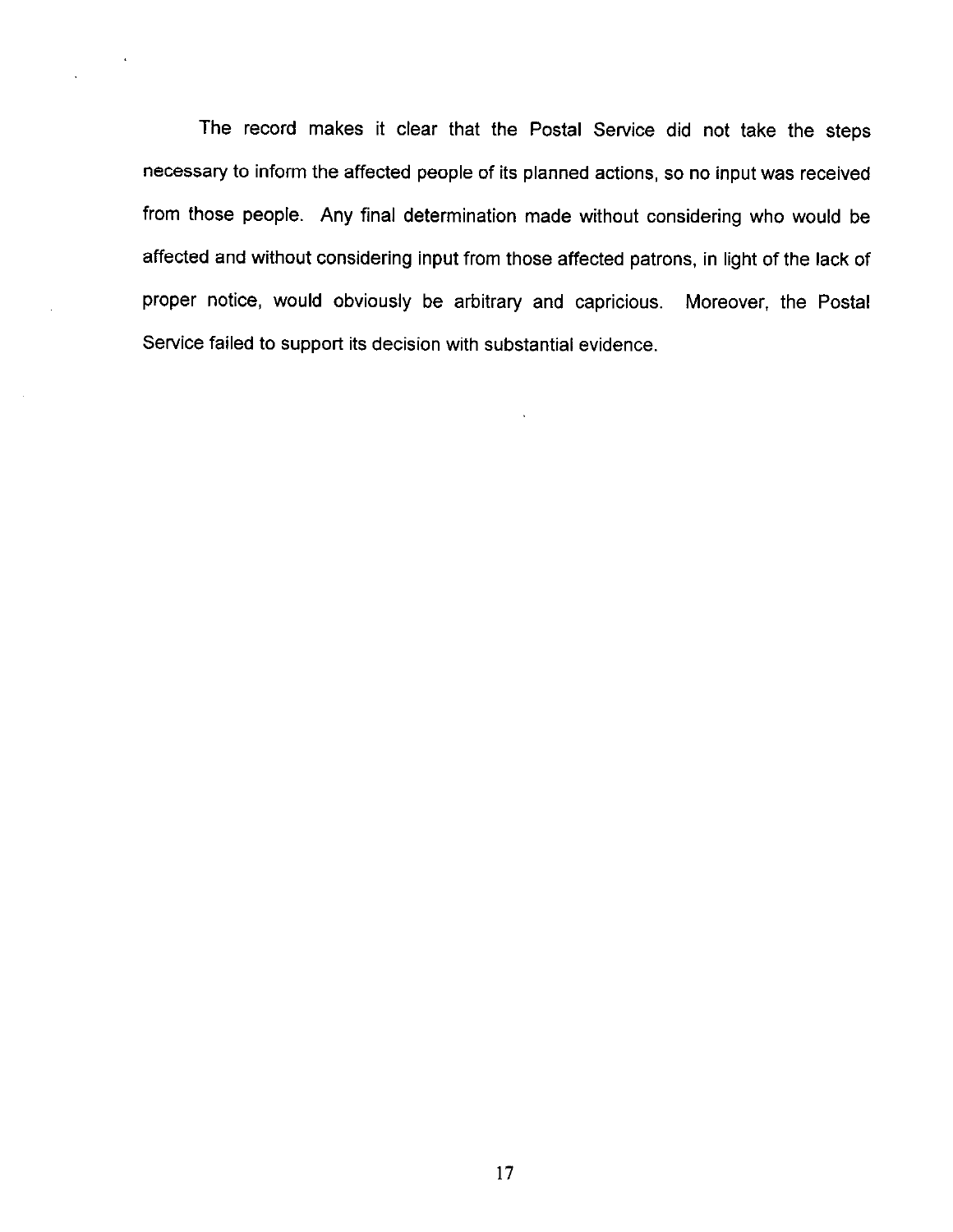The record makes it clear that the Postal Service did not take the steps necessary to inform the affected people of its planned actions, so no input was received from those people. Any final determination made without considering who would be affected and without considering input from those affected patrons, in light of the lack of proper notice, would obviously be arbitrary and capricious. Moreover, the Postal Service failed to support its decision with substantial evidence.

 $\ddot{\phantom{a}}$ 

 $\mathcal{L}^{\mathcal{L}}$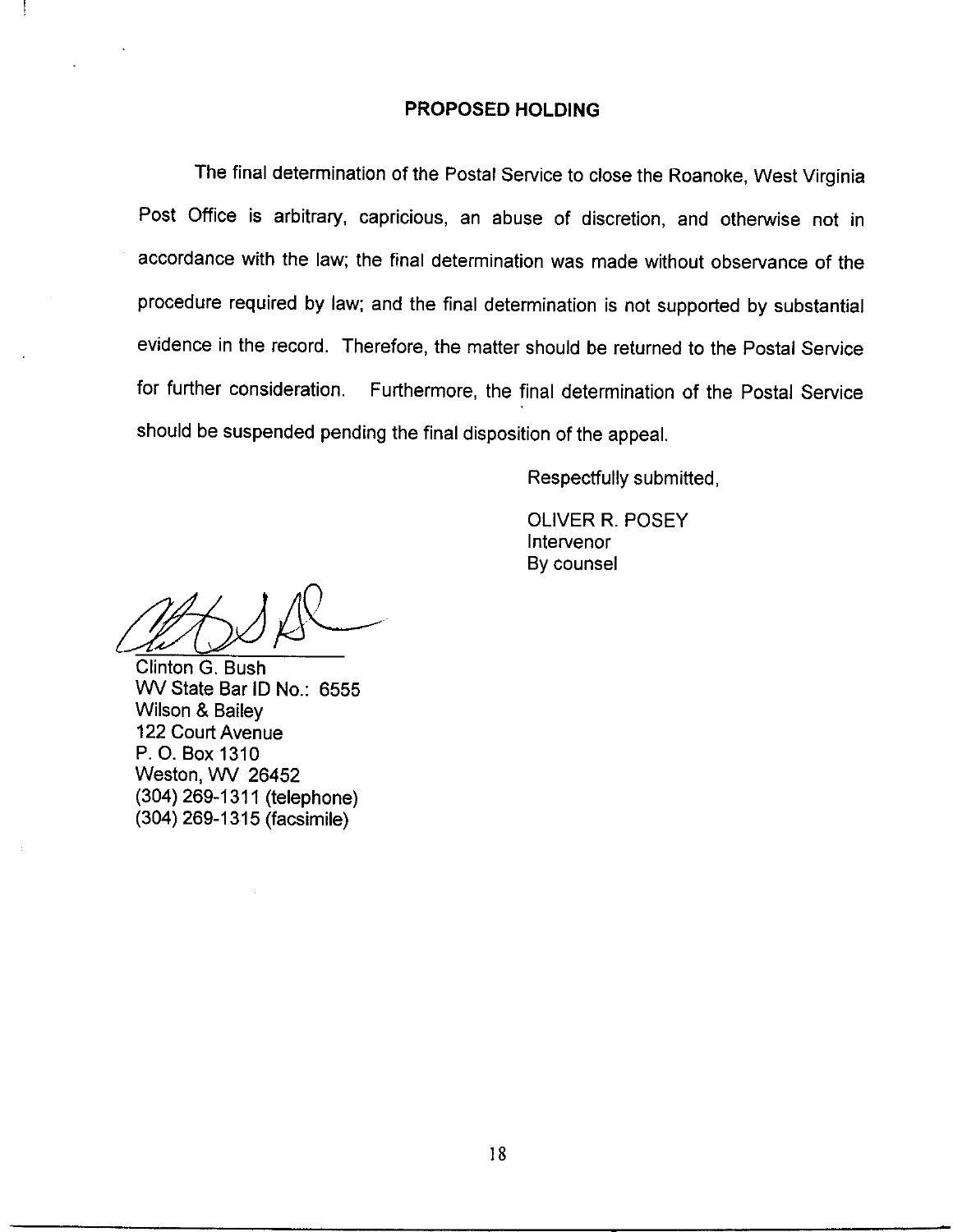#### PROPOSED HOLDING

The final determination of the Postal Service to close the Roanoke, West Virginia Post Office is arbitrary, capricious, an abuse of discretion, and otherwise not in accordance with the law; the final determination was made without observance of the procedure required by law; and the final determination is not supported by substantial evidence in the record. Therefore, the matter should be returned to the Postal Service for further consideration. Furthermore, the final determination of the Postal Service should be suspended pending the final disposition of the appeal.

Respectfully submitted,

OLIVER R. POSEY Intervenor By counsel

&&/

Clinton G. Bush WV State Bar ID No.: 6555 Wilson & Bailey 122 Court Avenue P. 0. Box 1310 Weston, WV 26452 (304) 269-1311 (telephone) (304) 269-l 315 (facsimile)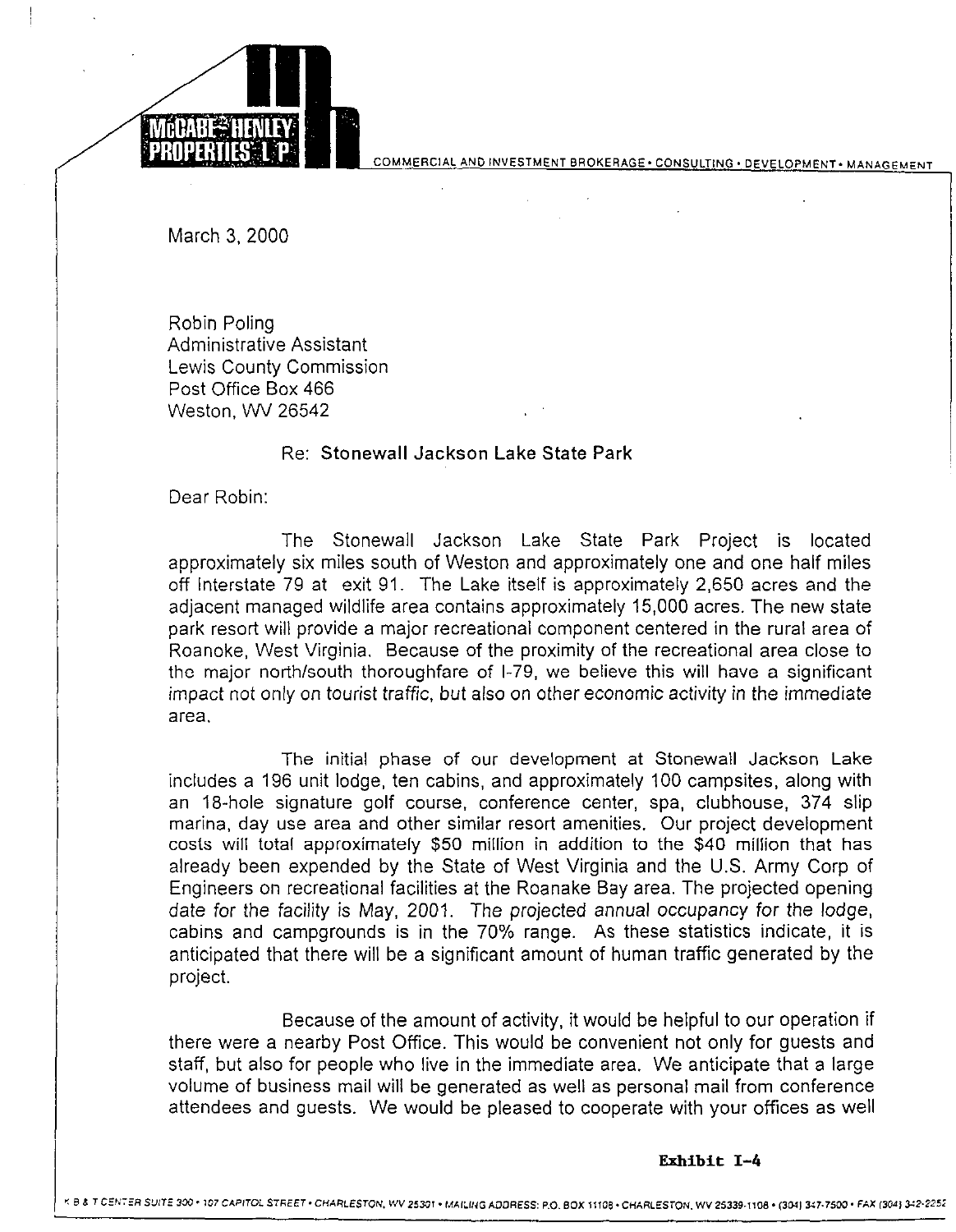

COMMERCIAL AND INVESTMENT BROKERAGE . CONSULTING . DEVELOPMENT . MANAGEMENT

March 3. 2000

Robin Poling Administrative Assistant Lewis County Commission Post Office Box 466 Weston, WV 26542

## Re: Stonewall Jackson Lake State Park

Dear Robin:

The Stonewall Jackson Lake State Park Project is located approximately six miles south of Weston and approximately one and one half miles off Interstate 79 at exit 91. The Lake itself is approximately 2,650 acres and the adjacent managed wildlife area contains approximately 15,000 acres. The new state park resort will provide a major recreational component centered in the rural area of Roanoke, West Virginia. Because of the proximity of the recreational area close to the major north/south thoroughfare of l-79, we believe this will have a significant impact not only on tourist traffic, but also on other economic activity in the immediate area.

The initial phase of our development at Stonewall Jackson Lake includes a 196 unit lodge, ten cabins, and approximately 100 campsites, along with an 18-hole signature golf course, conference center, spa, clubhouse, 374 slip marina, day use area and other similar resort amenities. Our project development costs will total approximately \$50 million in addition to the \$40 million that has already been expended by the State of West Virginia and the U.S. Army Corp of Engineers on recreational facilities at the Roanake Bay area. The projected opening date for the facility is May, 2001. The projected annual occupancy for the lodge, cabins and campgrounds is in the 70% range. As these statistics indicate, it is anticipated that there will be a significant amount of human traffic generated by the project.

Because of the amount of activity, it would be helpful to our operation if there were a nearby Post Office. This would be convenient not only for guests and staff, but also for people who live in the immediate area. We anticipate that a large volume of business mail will be generated as well as personal mail from conference attendees and guests. We would be pleased to cooperate with your offices as well

#### Exhibit I-4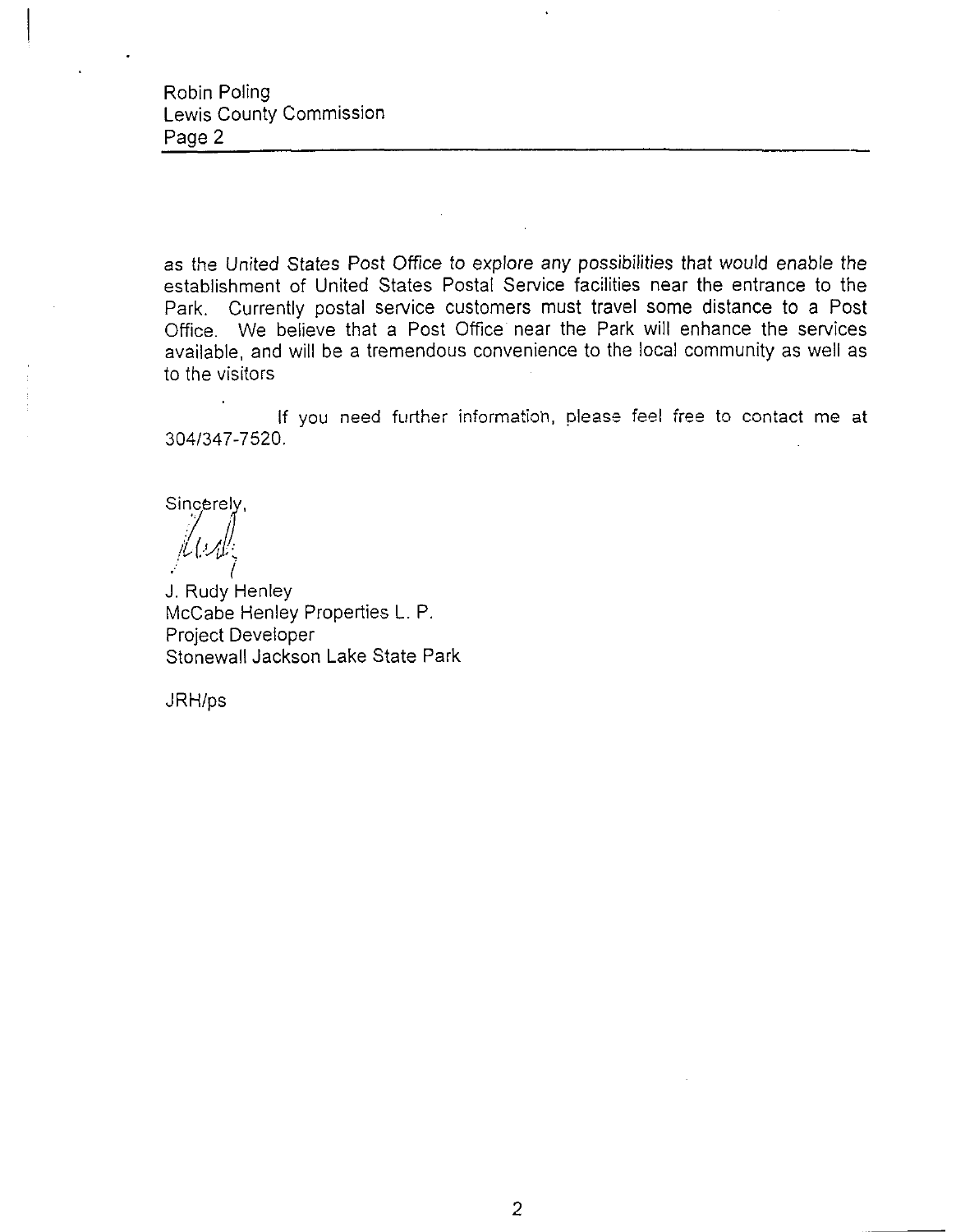as the United States Post Office to explore any possibilities that would enable the establishment of United States Postal Service facilities near the entrance to the Park, Currently postal service customers must travel some distance to a Post Office. We believe that a Post Office near the Park will enhance the services available, and will be a tremendous convenience to the local community as well as to the visitors

If you need further information, please feel free to contact me at 3041347-7520.

Sincerely,

J. Rudy Henley McCabe Henley Properties L. P. Project Developer Stonewall Jackson Lake State Park

JRH/ps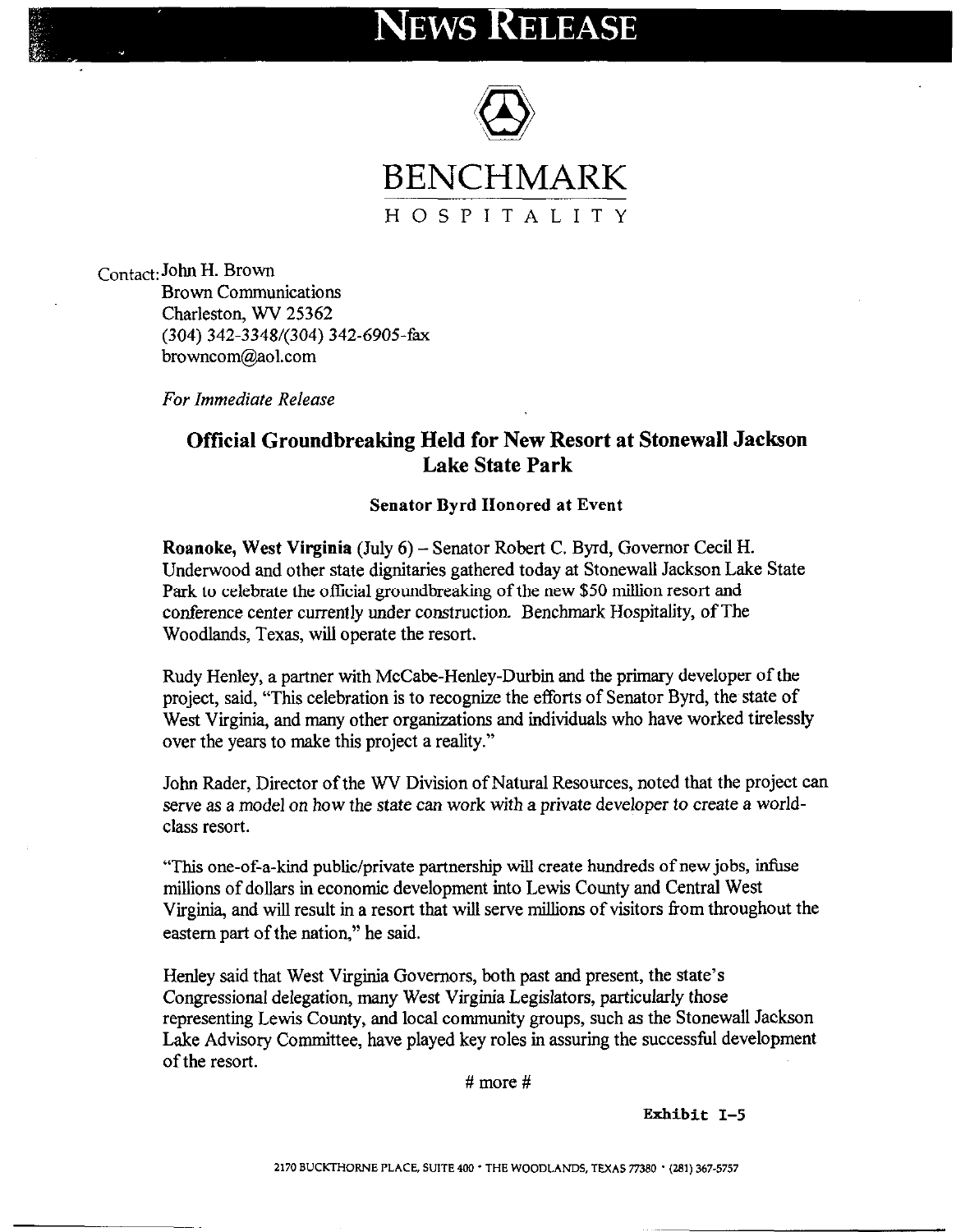# **NEWS RELEASE**



contact: John H. Brown Brown Communications Charleston, WV 25362 (304) 342-3348/(304) 342-6905-h browncom@aol.com

Far Immediate Release

## Official Groundbreaking Held for New Resort at Stonewall Jackson Lake State Park

#### Senator Byrd Honored at Event

Roanoke, West Virginia (July 6) - Senator Robert C. Byrd, Governor Cecil H. Underwood and other state dignitaries gathered today at Stonewall Jackson Lake State Park to celebrate the official groundbreaking of the new \$50 million resort and conference center currently under construction. Benchmark Hospitality, of The Woodlands, Texas, will operate the resort.

Rudy Henley, a partner with McCabe-Henley-Durbin and the primary developer of the project, said, "This celebration is to recognize the efforts of Senator Byrd, the state of West Virginia, and many other organizations and individuals who have worked tirelessly over the years to make this project a reality."

John Rader, Director of the WV Division of Natural Resources, noted that the project can serve as a model on how the state can work with a private developer to create a worldclass resort.

"This one-of-a-kind public/private partnership will create hundreds of new jobs, infuse millions of dollars in economic development into Lewis County and Central West Virginia, and will result in a resort that will serve millions of visitors from throughout the eastern part of the nation," he said.

Henley said that West Virginia Governors, both past and present, the state's Congressional delegation, many West Virginia Legislators, particularly those representing Lewis County, and local community groups, such as the Stonewall Jackson Lake Advisory Committee, have played key roles in assuring the successful development of the resort.

# more #

Exhibit I-5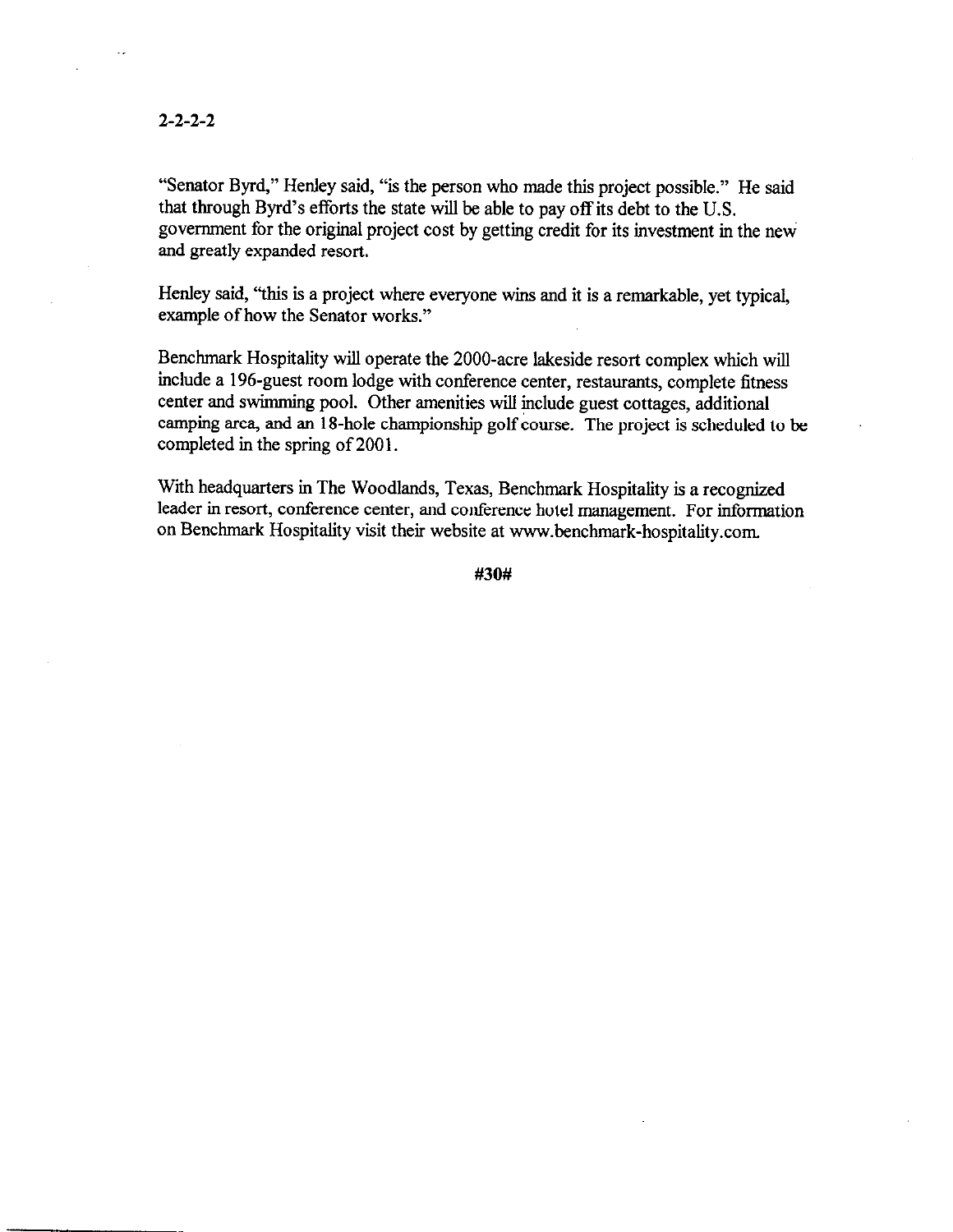#### 2-2-2-2

"Senator Byrd," Henley said, "is the person who made this project possible." He said that through Byrd's efforts the state will be able to pay off its debt to the U.S. government for the original project cost by getting credit for its investment in the new and greatly expanded resort.

Henley said, "this is a project where everyone wins and it is a remarkable, yet typical, example of how the Senator works."

Benchmark Hospitality will operate the 2000-acre lakeside resort complex which will include a 196-guest room lodge with conference center, restaurants, complete fitness center and swimming pool. Other amenities will include guest cottages, additional camping area, and an 1 S-hole championship golf course. The project is scheduled to be completed in the spring of 2001.

With headquarters in The Woodlands, Texas, Benchmark Hospitality is a recognized leader in resort, conference center, and conference hotel management. For information on Benchmark Hospitality visit their website at www.benchmark-hospitality.com.

#30#